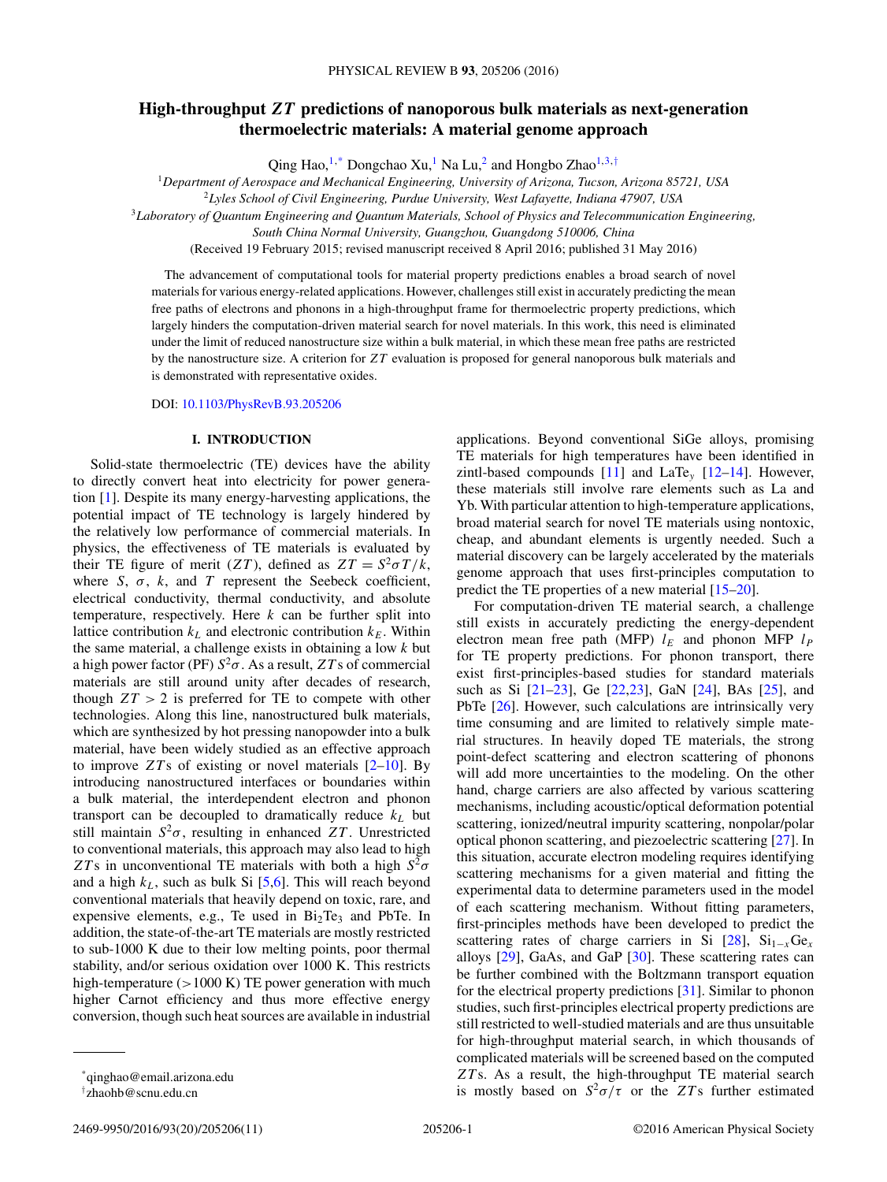# **High-throughput** *ZT* **predictions of nanoporous bulk materials as next-generation thermoelectric materials: A material genome approach**

Qing Hao,<sup>1,\*</sup> Dongchao Xu,<sup>1</sup> Na Lu,<sup>2</sup> and Hongbo Zhao<sup>1,3,†</sup>

<sup>1</sup>*Department of Aerospace and Mechanical Engineering, University of Arizona, Tucson, Arizona 85721, USA*

<sup>2</sup>*Lyles School of Civil Engineering, Purdue University, West Lafayette, Indiana 47907, USA*

<sup>3</sup>*Laboratory of Quantum Engineering and Quantum Materials, School of Physics and Telecommunication Engineering,*

*South China Normal University, Guangzhou, Guangdong 510006, China*

(Received 19 February 2015; revised manuscript received 8 April 2016; published 31 May 2016)

The advancement of computational tools for material property predictions enables a broad search of novel materials for various energy-related applications. However, challenges still exist in accurately predicting the mean free paths of electrons and phonons in a high-throughput frame for thermoelectric property predictions, which largely hinders the computation-driven material search for novel materials. In this work, this need is eliminated under the limit of reduced nanostructure size within a bulk material, in which these mean free paths are restricted by the nanostructure size. A criterion for *ZT* evaluation is proposed for general nanoporous bulk materials and is demonstrated with representative oxides.

DOI: [10.1103/PhysRevB.93.205206](http://dx.doi.org/10.1103/PhysRevB.93.205206)

## **I. INTRODUCTION**

Solid-state thermoelectric (TE) devices have the ability to directly convert heat into electricity for power generation [\[1\]](#page-8-0). Despite its many energy-harvesting applications, the potential impact of TE technology is largely hindered by the relatively low performance of commercial materials. In physics, the effectiveness of TE materials is evaluated by their TE figure of merit (*ZT*), defined as  $ZT = S^2 \sigma T/k$ , where  $S$ ,  $\sigma$ ,  $k$ , and  $T$  represent the Seebeck coefficient, electrical conductivity, thermal conductivity, and absolute temperature, respectively. Here *k* can be further split into lattice contribution  $k_L$  and electronic contribution  $k_E$ . Within the same material, a challenge exists in obtaining a low *k* but a high power factor (PF)  $S^2\sigma$ . As a result, *ZT* s of commercial materials are still around unity after decades of research, though  $ZT > 2$  is preferred for TE to compete with other technologies. Along this line, nanostructured bulk materials, which are synthesized by hot pressing nanopowder into a bulk material, have been widely studied as an effective approach to improve *ZT* s of existing or novel materials [\[2](#page-8-0)[–10\]](#page-9-0). By introducing nanostructured interfaces or boundaries within a bulk material, the interdependent electron and phonon transport can be decoupled to dramatically reduce  $k_L$  but still maintain  $S^2\sigma$ , resulting in enhanced *ZT*. Unrestricted to conventional materials, this approach may also lead to high *ZT* s in unconventional TE materials with both a high  $S^2 \sigma$ and a high *kL*, such as bulk Si [\[5,6\]](#page-8-0). This will reach beyond conventional materials that heavily depend on toxic, rare, and expensive elements, e.g., Te used in Bi<sub>2</sub>Te<sub>3</sub> and PbTe. In addition, the state-of-the-art TE materials are mostly restricted to sub-1000 K due to their low melting points, poor thermal stability, and/or serious oxidation over 1000 K. This restricts high-temperature (*>*1000 K) TE power generation with much higher Carnot efficiency and thus more effective energy conversion, though such heat sources are available in industrial applications. Beyond conventional SiGe alloys, promising TE materials for high temperatures have been identified in zintl-based compounds [\[11\]](#page-9-0) and LaTe*<sup>y</sup>* [\[12–14\]](#page-9-0). However, these materials still involve rare elements such as La and Yb. With particular attention to high-temperature applications, broad material search for novel TE materials using nontoxic, cheap, and abundant elements is urgently needed. Such a material discovery can be largely accelerated by the materials genome approach that uses first-principles computation to predict the TE properties of a new material [\[15–20\]](#page-9-0).

For computation-driven TE material search, a challenge still exists in accurately predicting the energy-dependent electron mean free path (MFP)  $l_E$  and phonon MFP  $l_P$ for TE property predictions. For phonon transport, there exist first-principles-based studies for standard materials such as Si [\[21–23\]](#page-9-0), Ge [\[22,23\]](#page-9-0), GaN [\[24\]](#page-9-0), BAs [\[25\]](#page-9-0), and PbTe [\[26\]](#page-9-0). However, such calculations are intrinsically very time consuming and are limited to relatively simple material structures. In heavily doped TE materials, the strong point-defect scattering and electron scattering of phonons will add more uncertainties to the modeling. On the other hand, charge carriers are also affected by various scattering mechanisms, including acoustic/optical deformation potential scattering, ionized/neutral impurity scattering, nonpolar/polar optical phonon scattering, and piezoelectric scattering [\[27\]](#page-9-0). In this situation, accurate electron modeling requires identifying scattering mechanisms for a given material and fitting the experimental data to determine parameters used in the model of each scattering mechanism. Without fitting parameters, first-principles methods have been developed to predict the scattering rates of charge carriers in Si  $[28]$ , Si<sub>1−*x*</sub>Ge<sub>*x*</sub> alloys [\[29\]](#page-9-0), GaAs, and GaP [\[30\]](#page-9-0). These scattering rates can be further combined with the Boltzmann transport equation for the electrical property predictions [\[31\]](#page-9-0). Similar to phonon studies, such first-principles electrical property predictions are still restricted to well-studied materials and are thus unsuitable for high-throughput material search, in which thousands of complicated materials will be screened based on the computed *ZT* s. As a result, the high-throughput TE material search is mostly based on  $S^2\sigma/\tau$  or the *ZT*'s further estimated

<sup>\*</sup>qinghao@email.arizona.edu

<sup>†</sup> zhaohb@scnu.edu.cn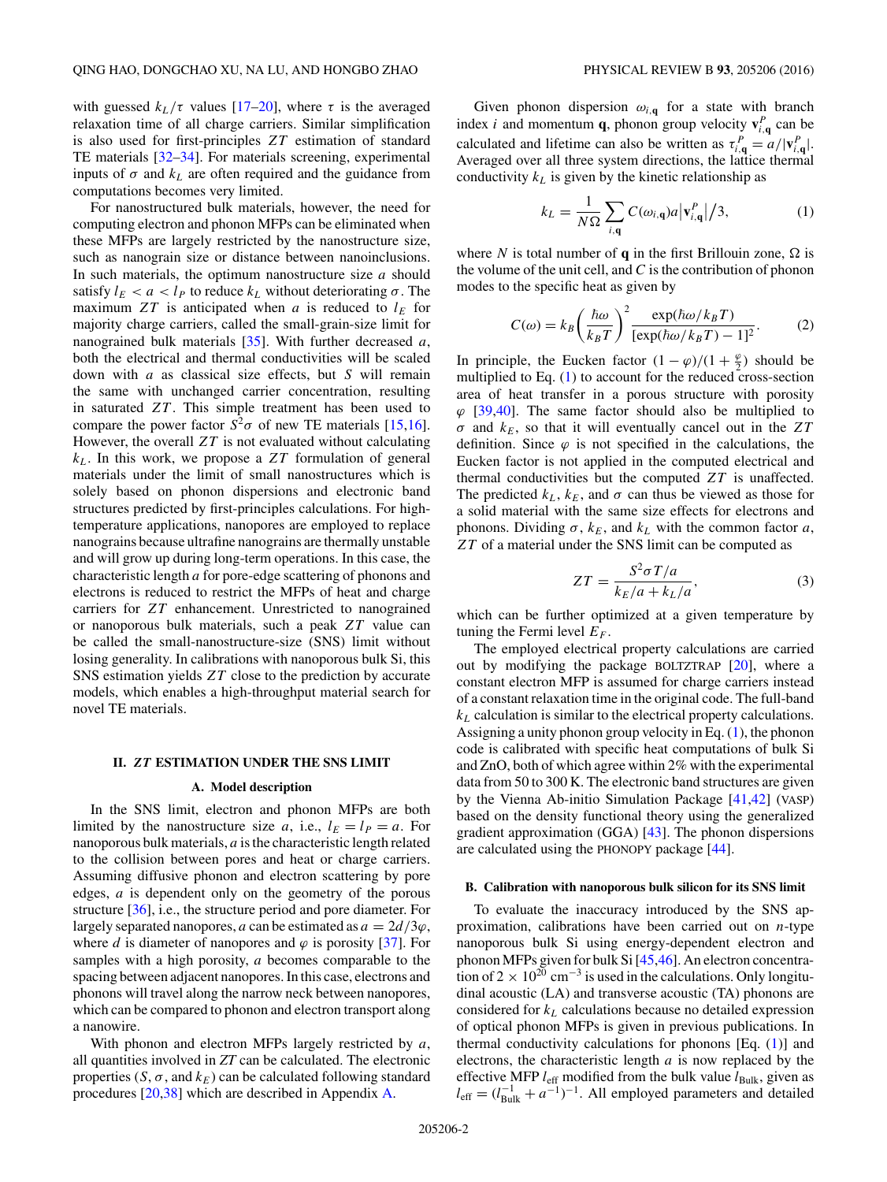<span id="page-1-0"></span>with guessed  $k_L/\tau$  values [\[17–20\]](#page-9-0), where  $\tau$  is the averaged relaxation time of all charge carriers. Similar simplification is also used for first-principles *ZT* estimation of standard TE materials [\[32–34\]](#page-9-0). For materials screening, experimental inputs of  $\sigma$  and  $k<sub>L</sub>$  are often required and the guidance from computations becomes very limited.

For nanostructured bulk materials, however, the need for computing electron and phonon MFPs can be eliminated when these MFPs are largely restricted by the nanostructure size, such as nanograin size or distance between nanoinclusions. In such materials, the optimum nanostructure size *a* should satisfy  $l_E < a < l_P$  to reduce  $k_L$  without deteriorating  $\sigma$ . The maximum  $ZT$  is anticipated when *a* is reduced to  $l_E$  for majority charge carriers, called the small-grain-size limit for nanograined bulk materials [\[35\]](#page-9-0). With further decreased *a*, both the electrical and thermal conductivities will be scaled down with *a* as classical size effects, but *S* will remain the same with unchanged carrier concentration, resulting in saturated *ZT*. This simple treatment has been used to compare the power factor  $S^2\sigma$  of new TE materials [\[15,16\]](#page-9-0). However, the overall *ZT* is not evaluated without calculating *kL*. In this work, we propose a *ZT* formulation of general materials under the limit of small nanostructures which is solely based on phonon dispersions and electronic band structures predicted by first-principles calculations. For hightemperature applications, nanopores are employed to replace nanograins because ultrafine nanograins are thermally unstable and will grow up during long-term operations. In this case, the characteristic length *a* for pore-edge scattering of phonons and electrons is reduced to restrict the MFPs of heat and charge carriers for *ZT* enhancement. Unrestricted to nanograined or nanoporous bulk materials, such a peak *ZT* value can be called the small-nanostructure-size (SNS) limit without losing generality. In calibrations with nanoporous bulk Si, this SNS estimation yields *ZT* close to the prediction by accurate models, which enables a high-throughput material search for novel TE materials.

#### **II.** *ZT* **ESTIMATION UNDER THE SNS LIMIT**

### **A. Model description**

In the SNS limit, electron and phonon MFPs are both limited by the nanostructure size *a*, i.e.,  $l_E = l_P = a$ . For nanoporous bulk materials, *a* is the characteristic length related to the collision between pores and heat or charge carriers. Assuming diffusive phonon and electron scattering by pore edges, *a* is dependent only on the geometry of the porous structure [\[36\]](#page-9-0), i.e., the structure period and pore diameter. For largely separated nanopores, *a* can be estimated as  $a = 2d/3\varphi$ , where *d* is diameter of nanopores and  $\varphi$  is porosity [\[37\]](#page-9-0). For samples with a high porosity, *a* becomes comparable to the spacing between adjacent nanopores. In this case, electrons and phonons will travel along the narrow neck between nanopores, which can be compared to phonon and electron transport along a nanowire.

With phonon and electron MFPs largely restricted by *a*, all quantities involved in *ZT* can be calculated. The electronic properties  $(S, \sigma, \text{ and } k_E)$  can be calculated following standard procedures [\[20,38\]](#page-9-0) which are described in Appendix [A.](#page-7-0)

Given phonon dispersion  $\omega_{i,q}$  for a state with branch index *i* and momentum **q**, phonon group velocity  $\mathbf{v}_{i,q}^P$  can be calculated and lifetime can also be written as  $\tau_{i,\mathbf{q}}^P = a/|\mathbf{v}_{i,\mathbf{q}}^P|$ . Averaged over all three system directions, the lattice thermal conductivity  $k<sub>L</sub>$  is given by the kinetic relationship as

$$
k_L = \frac{1}{N\Omega} \sum_{i,\mathbf{q}} C(\omega_{i,\mathbf{q}}) a |\mathbf{v}_{i,\mathbf{q}}^P|/3,
$$
 (1)

where *N* is total number of **q** in the first Brillouin zone,  $\Omega$  is the volume of the unit cell, and *C* is the contribution of phonon modes to the specific heat as given by

$$
C(\omega) = k_B \left(\frac{\hbar \omega}{k_B T}\right)^2 \frac{\exp(\hbar \omega / k_B T)}{[\exp(\hbar \omega / k_B T) - 1]^2}.
$$
 (2)

In principle, the Eucken factor  $(1 - \varphi)/(1 + \frac{\varphi}{2})$  should be multiplied to Eq.  $(1)$  to account for the reduced cross-section area of heat transfer in a porous structure with porosity *ϕ* [\[39,40\]](#page-9-0). The same factor should also be multiplied to  $\sigma$  and  $k_E$ , so that it will eventually cancel out in the *ZT* definition. Since  $\varphi$  is not specified in the calculations, the Eucken factor is not applied in the computed electrical and thermal conductivities but the computed *ZT* is unaffected. The predicted  $k_L$ ,  $k_E$ , and  $\sigma$  can thus be viewed as those for a solid material with the same size effects for electrons and phonons. Dividing  $\sigma$ ,  $k_E$ , and  $k_L$  with the common factor *a*, *ZT* of a material under the SNS limit can be computed as

$$
ZT = \frac{S^2 \sigma T/a}{k_E/a + k_L/a},\tag{3}
$$

which can be further optimized at a given temperature by tuning the Fermi level  $E_F$ .

The employed electrical property calculations are carried out by modifying the package BOLTZTRAP [\[20\]](#page-9-0), where a constant electron MFP is assumed for charge carriers instead of a constant relaxation time in the original code. The full-band *kL* calculation is similar to the electrical property calculations. Assigning a unity phonon group velocity in Eq. (1), the phonon code is calibrated with specific heat computations of bulk Si and ZnO, both of which agree within 2% with the experimental data from 50 to 300 K. The electronic band structures are given by the Vienna Ab-initio Simulation Package [\[41,42\]](#page-9-0) (VASP) based on the density functional theory using the generalized gradient approximation (GGA) [\[43\]](#page-9-0). The phonon dispersions are calculated using the PHONOPY package [\[44\]](#page-9-0).

#### **B. Calibration with nanoporous bulk silicon for its SNS limit**

To evaluate the inaccuracy introduced by the SNS approximation, calibrations have been carried out on *n*-type nanoporous bulk Si using energy-dependent electron and phonon MFPs given for bulk Si [\[45,46\]](#page-9-0). An electron concentration of 2  $\times$  10<sup>20</sup> cm<sup>-3</sup> is used in the calculations. Only longitudinal acoustic (LA) and transverse acoustic (TA) phonons are considered for *kL* calculations because no detailed expression of optical phonon MFPs is given in previous publications. In thermal conductivity calculations for phonons  $[Eq. (1)]$  and electrons, the characteristic length *a* is now replaced by the effective MFP *l*<sub>eff</sub> modified from the bulk value *l*<sub>Bulk</sub>, given as  $l_{\text{eff}} = (l_{\text{Bulk}}^{-1} + a^{-1})^{-1}$ . All employed parameters and detailed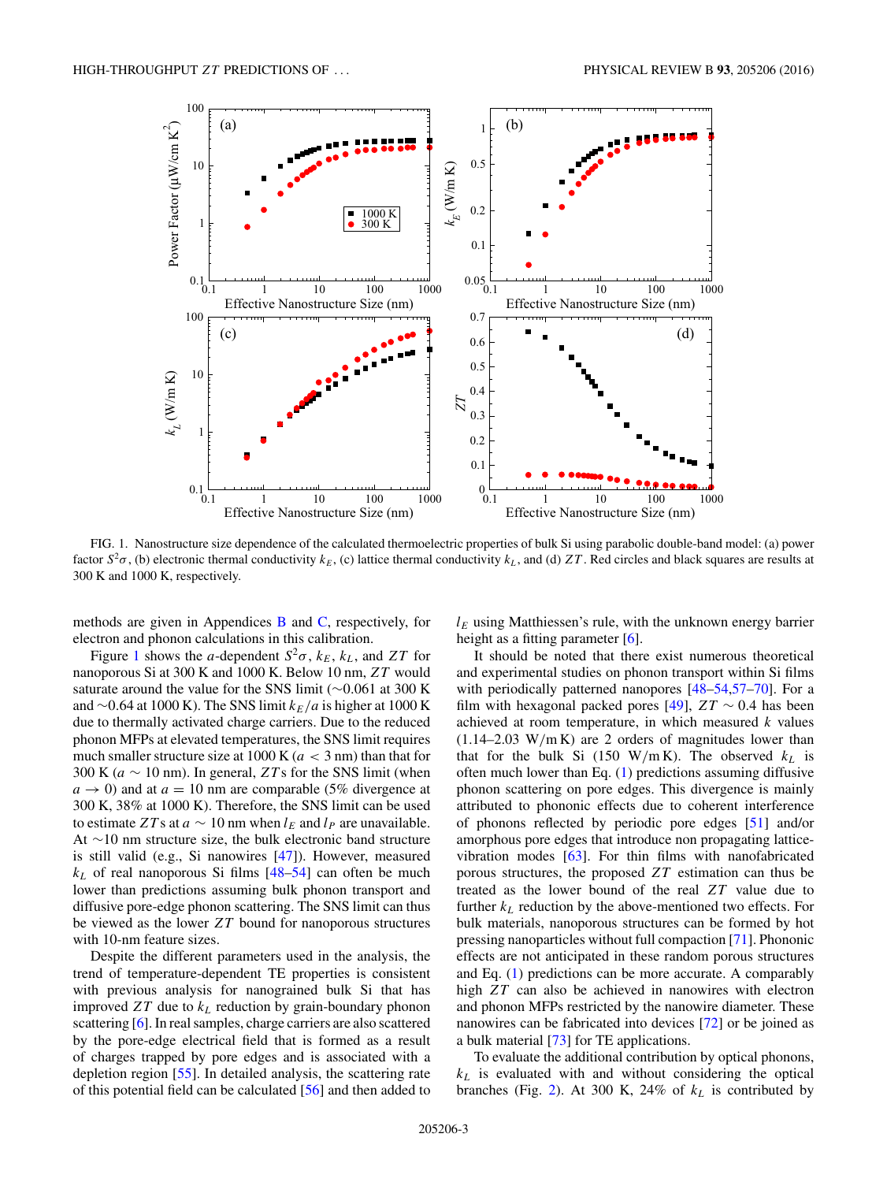

FIG. 1. Nanostructure size dependence of the calculated thermoelectric properties of bulk Si using parabolic double-band model: (a) power factor  $S^2\sigma$ , (b) electronic thermal conductivity  $k_E$ , (c) lattice thermal conductivity  $k_L$ , and (d) *ZT*. Red circles and black squares are results at 300 K and 1000 K, respectively.

methods are given in Appendices [B](#page-7-0) and [C,](#page-8-0) respectively, for electron and phonon calculations in this calibration.

Figure 1 shows the *a*-dependent  $S^2\sigma$ ,  $k_E$ ,  $k_L$ , and *ZT* for nanoporous Si at 300 K and 1000 K. Below 10 nm, *ZT* would saturate around the value for the SNS limit (∼0*.*061 at 300 K and ~0.64 at 1000 K). The SNS limit *k<sub>E</sub>*/*a* is higher at 1000 K due to thermally activated charge carriers. Due to the reduced phonon MFPs at elevated temperatures, the SNS limit requires much smaller structure size at 1000 K (*a <* 3 nm) than that for 300 K ( $a \sim 10$  nm). In general,  $ZTs$  for the SNS limit (when  $a \rightarrow 0$ ) and at  $a = 10$  nm are comparable (5% divergence at 300 K, 38% at 1000 K). Therefore, the SNS limit can be used to estimate *ZT* s at  $a \sim 10$  nm when  $l_E$  and  $l_P$  are unavailable. At ∼10 nm structure size, the bulk electronic band structure is still valid (e.g., Si nanowires [\[47\]](#page-9-0)). However, measured  $k_L$  of real nanoporous Si films  $[48-54]$  can often be much lower than predictions assuming bulk phonon transport and diffusive pore-edge phonon scattering. The SNS limit can thus be viewed as the lower *ZT* bound for nanoporous structures with 10-nm feature sizes.

Despite the different parameters used in the analysis, the trend of temperature-dependent TE properties is consistent with previous analysis for nanograined bulk Si that has improved  $ZT$  due to  $k<sub>L</sub>$  reduction by grain-boundary phonon scattering [\[6\]](#page-8-0). In real samples, charge carriers are also scattered by the pore-edge electrical field that is formed as a result of charges trapped by pore edges and is associated with a depletion region [\[55\]](#page-9-0). In detailed analysis, the scattering rate of this potential field can be calculated [\[56\]](#page-9-0) and then added to

 $l_E$  using Matthiessen's rule, with the unknown energy barrier height as a fitting parameter [\[6\]](#page-8-0).

It should be noted that there exist numerous theoretical and experimental studies on phonon transport within Si films with periodically patterned nanopores [\[48–54,57–](#page-9-0)[70\]](#page-10-0). For a film with hexagonal packed pores [\[49\]](#page-9-0), *ZT* ∼ 0*.*4 has been achieved at room temperature, in which measured *k* values (1.14–2.03 W*/*m K) are 2 orders of magnitudes lower than that for the bulk Si (150 W/m K). The observed  $k_L$  is often much lower than Eq. [\(1\)](#page-1-0) predictions assuming diffusive phonon scattering on pore edges. This divergence is mainly attributed to phononic effects due to coherent interference of phonons reflected by periodic pore edges [\[51\]](#page-9-0) and/or amorphous pore edges that introduce non propagating latticevibration modes [\[63\]](#page-9-0). For thin films with nanofabricated porous structures, the proposed *ZT* estimation can thus be treated as the lower bound of the real *ZT* value due to further  $k_L$  reduction by the above-mentioned two effects. For bulk materials, nanoporous structures can be formed by hot pressing nanoparticles without full compaction [\[71\]](#page-10-0). Phononic effects are not anticipated in these random porous structures and Eq. [\(1\)](#page-1-0) predictions can be more accurate. A comparably high *ZT* can also be achieved in nanowires with electron and phonon MFPs restricted by the nanowire diameter. These nanowires can be fabricated into devices [\[72\]](#page-10-0) or be joined as a bulk material [\[73\]](#page-10-0) for TE applications.

To evaluate the additional contribution by optical phonons, *kL* is evaluated with and without considering the optical branches (Fig. [2\)](#page-3-0). At 300 K, 24% of  $k<sub>L</sub>$  is contributed by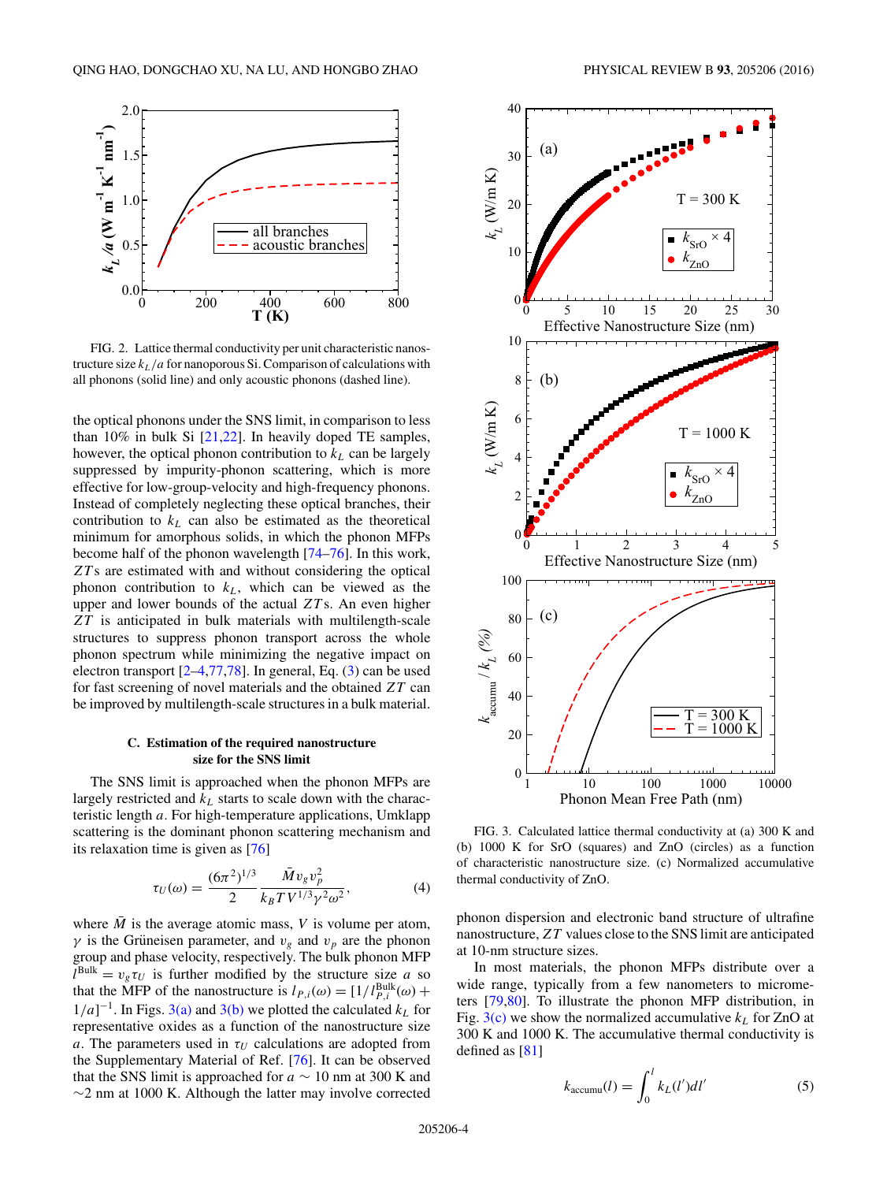<span id="page-3-0"></span>

FIG. 2. Lattice thermal conductivity per unit characteristic nanostructure size  $k_L/a$  for nanoporous Si. Comparison of calculations with all phonons (solid line) and only acoustic phonons (dashed line).

the optical phonons under the SNS limit, in comparison to less than 10% in bulk Si [\[21,22\]](#page-9-0). In heavily doped TE samples, however, the optical phonon contribution to  $k<sub>L</sub>$  can be largely suppressed by impurity-phonon scattering, which is more effective for low-group-velocity and high-frequency phonons. Instead of completely neglecting these optical branches, their contribution to  $k<sub>L</sub>$  can also be estimated as the theoretical minimum for amorphous solids, in which the phonon MFPs become half of the phonon wavelength [\[74–76\]](#page-10-0). In this work, *ZT* s are estimated with and without considering the optical phonon contribution to  $k<sub>L</sub>$ , which can be viewed as the upper and lower bounds of the actual *ZT* s. An even higher *ZT* is anticipated in bulk materials with multilength-scale structures to suppress phonon transport across the whole phonon spectrum while minimizing the negative impact on electron transport [\[2–4,](#page-8-0)[77,78\]](#page-10-0). In general, Eq. [\(3\)](#page-1-0) can be used for fast screening of novel materials and the obtained *ZT* can be improved by multilength-scale structures in a bulk material.

## **C. Estimation of the required nanostructure size for the SNS limit**

The SNS limit is approached when the phonon MFPs are largely restricted and  $k<sub>L</sub>$  starts to scale down with the characteristic length *a*. For high-temperature applications, Umklapp scattering is the dominant phonon scattering mechanism and its relaxation time is given as [\[76\]](#page-10-0)

$$
\tau_U(\omega) = \frac{(6\pi^2)^{1/3}}{2} \frac{\bar{M} v_g v_p^2}{k_B T V^{1/3} \gamma^2 \omega^2},\tag{4}
$$

where  $\overline{M}$  is the average atomic mass, *V* is volume per atom, *γ* is the Grüneisen parameter, and  $v_g$  and  $v_p$  are the phonon group and phase velocity, respectively. The bulk phonon MFP  $l^{\text{Bulk}} = v_g \tau_U$  is further modified by the structure size *a* so that the MFP of the nanostructure is  $l_{P,i}(\omega) = [1/l_{P,i}^{\text{Bulk}}(\omega) +$  $1/a$ <sup>-1</sup>. In Figs. 3(a) and 3(b) we plotted the calculated  $k<sub>L</sub>$  for representative oxides as a function of the nanostructure size *a*. The parameters used in  $\tau_U$  calculations are adopted from the Supplementary Material of Ref. [\[76\]](#page-10-0). It can be observed that the SNS limit is approached for  $a \sim 10$  nm at 300 K and ∼2 nm at 1000 K. Although the latter may involve corrected



FIG. 3. Calculated lattice thermal conductivity at (a) 300 K and (b) 1000 K for SrO (squares) and ZnO (circles) as a function of characteristic nanostructure size. (c) Normalized accumulative thermal conductivity of ZnO.

phonon dispersion and electronic band structure of ultrafine nanostructure,*ZT* values close to the SNS limit are anticipated at 10-nm structure sizes.

In most materials, the phonon MFPs distribute over a wide range, typically from a few nanometers to micrometers [\[79,80\]](#page-10-0). To illustrate the phonon MFP distribution, in Fig.  $3(c)$  we show the normalized accumulative  $k<sub>L</sub>$  for ZnO at 300 K and 1000 K. The accumulative thermal conductivity is defined as [\[81\]](#page-10-0)

$$
k_{\text{accumu}}(l) = \int_0^l k_L(l')dl'
$$
 (5)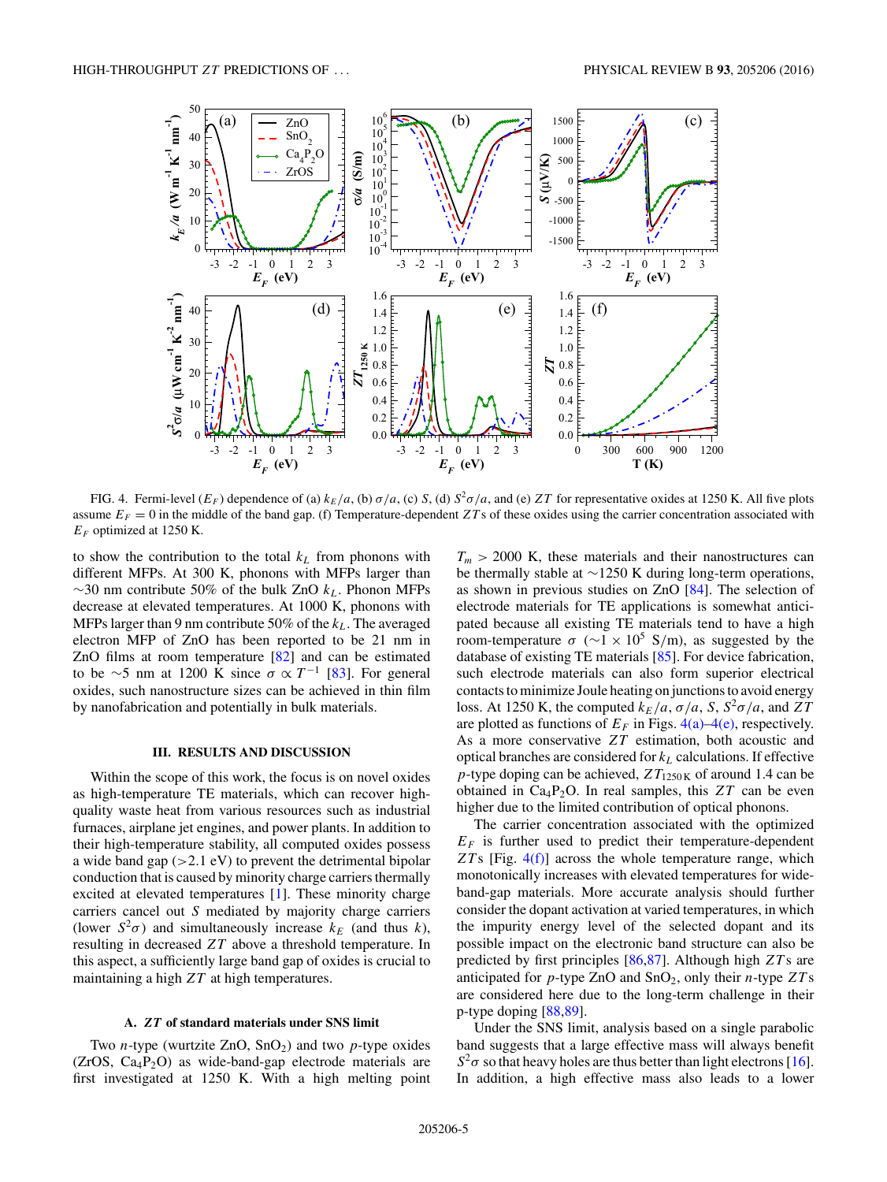<span id="page-4-0"></span>

FIG. 4. Fermi-level  $(E_F)$  dependence of (a)  $k_E/a$ , (b)  $\sigma/a$ , (c) *S*, (d)  $S^2\sigma/a$ , and (e) *ZT* for representative oxides at 1250 K. All five plots assume  $E_F = 0$  in the middle of the band gap. (f) Temperature-dependent *ZT*s of these oxides using the carrier concentration associated with  $E_F$  optimized at 1250 K.

to show the contribution to the total  $k<sub>L</sub>$  from phonons with different MFPs. At 300 K, phonons with MFPs larger than ∼30 nm contribute 50% of the bulk ZnO *kL*. Phonon MFPs decrease at elevated temperatures. At 1000 K, phonons with MFPs larger than 9 nm contribute 50% of the  $k_L$ . The averaged electron MFP of ZnO has been reported to be 21 nm in ZnO films at room temperature [\[82\]](#page-10-0) and can be estimated to be ∼5 nm at 1200 K since  $\sigma \propto T^{-1}$  [\[83\]](#page-10-0). For general oxides, such nanostructure sizes can be achieved in thin film by nanofabrication and potentially in bulk materials.

## **III. RESULTS AND DISCUSSION**

Within the scope of this work, the focus is on novel oxides as high-temperature TE materials, which can recover highquality waste heat from various resources such as industrial furnaces, airplane jet engines, and power plants. In addition to their high-temperature stability, all computed oxides possess a wide band gap (*>*2*.*1 eV) to prevent the detrimental bipolar conduction that is caused by minority charge carriers thermally excited at elevated temperatures [\[1\]](#page-8-0). These minority charge carriers cancel out *S* mediated by majority charge carriers (lower  $S^2\sigma$ ) and simultaneously increase  $k_E$  (and thus *k*), resulting in decreased *ZT* above a threshold temperature. In this aspect, a sufficiently large band gap of oxides is crucial to maintaining a high *ZT* at high temperatures.

#### **A.** *ZT* **of standard materials under SNS limit**

Two *n*-type (wurtzite  $ZnO$ ,  $SnO<sub>2</sub>$ ) and two *p*-type oxides  $(ZrOS, Ca<sub>4</sub>P<sub>2</sub>O)$  as wide-band-gap electrode materials are first investigated at 1250 K. With a high melting point  $T_m$  > 2000 K, these materials and their nanostructures can be thermally stable at ∼1250 K during long-term operations, as shown in previous studies on ZnO [\[84\]](#page-10-0). The selection of electrode materials for TE applications is somewhat anticipated because all existing TE materials tend to have a high room-temperature  $\sigma$  ( $\sim$ 1 × 10<sup>5</sup> S/m), as suggested by the database of existing TE materials [\[85\]](#page-10-0). For device fabrication, such electrode materials can also form superior electrical contacts to minimize Joule heating on junctions to avoid energy loss. At 1250 K, the computed  $k_E/a$ ,  $\sigma/a$ , S,  $S^2\sigma/a$ , and *ZT* are plotted as functions of  $E_F$  in Figs. 4(a)–4(e), respectively. As a more conservative *ZT* estimation, both acoustic and optical branches are considered for *kL* calculations. If effective *p*-type doping can be achieved,  $ZT_{1250K}$  of around 1.4 can be obtained in  $Ca_4P_2O$ . In real samples, this  $ZT$  can be even higher due to the limited contribution of optical phonons.

The carrier concentration associated with the optimized  $E_F$  is further used to predict their temperature-dependent *ZT* s [Fig. 4(f)] across the whole temperature range, which monotonically increases with elevated temperatures for wideband-gap materials. More accurate analysis should further consider the dopant activation at varied temperatures, in which the impurity energy level of the selected dopant and its possible impact on the electronic band structure can also be predicted by first principles [\[86,87\]](#page-10-0). Although high *ZT* s are anticipated for  $p$ -type ZnO and SnO<sub>2</sub>, only their  $n$ -type  $ZTs$ are considered here due to the long-term challenge in their p-type doping [\[88,89\]](#page-10-0).

Under the SNS limit, analysis based on a single parabolic band suggests that a large effective mass will always benefit *S*<sup>2</sup>*σ* so that heavy holes are thus better than light electrons [\[16\]](#page-9-0). In addition, a high effective mass also leads to a lower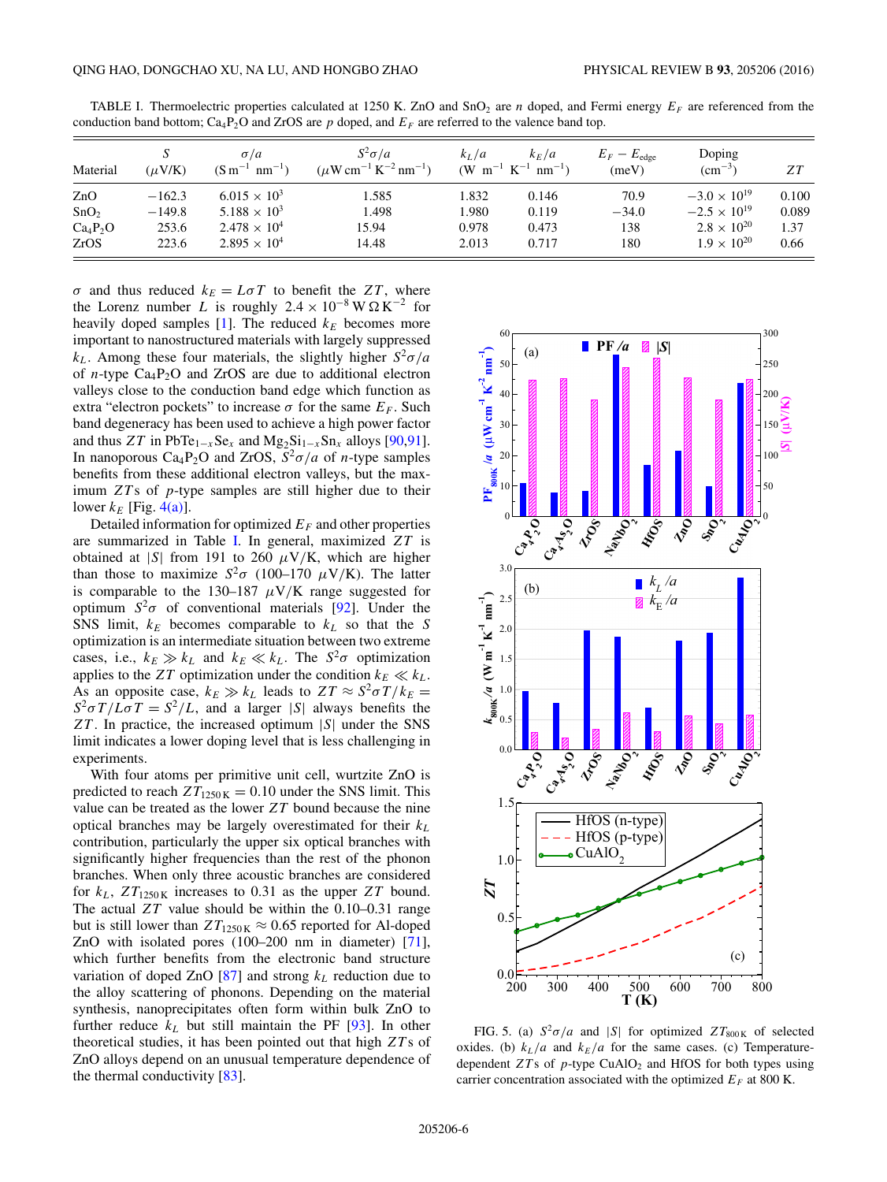| Material         | $(\mu$ V/K) | $\sigma/a$<br>$(S m^{-1} nm^{-1})$ | $S^2\sigma/a$<br>$(\mu W \text{ cm}^{-1} \text{ K}^{-2} \text{ nm}^{-1})$ | $k_L/a$ | $k_E/a$<br>$(W \text{ m}^{-1} \text{ K}^{-1} \text{ nm}^{-1})$ | $E_F - E_{\text{edge}}$<br>(meV) | Doping<br>$\rm (cm^{-3})$ | ZΤ    |
|------------------|-------------|------------------------------------|---------------------------------------------------------------------------|---------|----------------------------------------------------------------|----------------------------------|---------------------------|-------|
| ZnO              | $-162.3$    | $6.015 \times 10^{3}$              | 1.585                                                                     | 1.832   | 0.146                                                          | 70.9                             | $-3.0 \times 10^{19}$     | 0.100 |
| SnO <sub>2</sub> | $-149.8$    | $5.188 \times 10^{3}$              | 1.498                                                                     | 1.980   | 0.119                                                          | $-34.0$                          | $-2.5 \times 10^{19}$     | 0.089 |
| $Ca_4P_2O$       | 253.6       | $2.478 \times 10^{4}$              | 15.94                                                                     | 0.978   | 0.473                                                          | 138                              | $2.8 \times 10^{20}$      | 1.37  |
| ZrOS             | 223.6       | $2.895 \times 10^{4}$              | 14.48                                                                     | 2.013   | 0.717                                                          | 180                              | $1.9 \times 10^{20}$      | 0.66  |

<span id="page-5-0"></span>TABLE I. Thermoelectric properties calculated at 1250 K. ZnO and SnO<sub>2</sub> are *n* doped, and Fermi energy  $E_F$  are referenced from the conduction band bottom;  $Ca_1P_2O$  and ZrOS are *p* doped, and  $E_F$  are referred to the valence band top.

*σ* and thus reduced  $k_E = L \sigma T$  to benefit the *ZT*, where the Lorenz number *L* is roughly  $2.4 \times 10^{-8}$  W  $\Omega$  K<sup>-2</sup> for heavily doped samples  $[1]$ . The reduced  $k_E$  becomes more important to nanostructured materials with largely suppressed  $k<sub>L</sub>$ . Among these four materials, the slightly higher  $S^2 \sigma / a$ of *n*-type  $Ca_4P_2O$  and ZrOS are due to additional electron valleys close to the conduction band edge which function as extra "electron pockets" to increase  $\sigma$  for the same  $E_F$ . Such band degeneracy has been used to achieve a high power factor and thus  $ZT$  in PbTe<sub>1−*x*</sub>Se<sub>*x*</sub> and  $Mg_2Si_{1-x}Sn_x$  alloys [\[90,91\]](#page-10-0). In nanoporous Ca<sub>4</sub>P<sub>2</sub>O and ZrOS,  $S^2\sigma/a$  of *n*-type samples benefits from these additional electron valleys, but the maximum *ZT* s of *p*-type samples are still higher due to their lower  $k_F$  [Fig. [4\(a\)\]](#page-4-0).

Detailed information for optimized  $E_F$  and other properties are summarized in Table I. In general, maximized *ZT* is obtained at |*S*| from 191 to 260  $\mu$ V/K, which are higher than those to maximize  $S^2\sigma$  (100–170  $\mu$ V/K). The latter is comparable to the 130–187  $\mu$ V/K range suggested for optimum  $S^2\sigma$  of conventional materials [\[92\]](#page-10-0). Under the SNS limit,  $k_E$  becomes comparable to  $k_L$  so that the *S* optimization is an intermediate situation between two extreme cases, i.e.,  $k_E \gg k_L$  and  $k_E \ll k_L$ . The  $S^2\sigma$  optimization applies to the *ZT* optimization under the condition  $k_E \ll k_L$ . As an opposite case,  $k_E \gg k_L$  leads to  $ZT \approx S^2 \sigma T / k_E =$  $S^2 \sigma T / L \sigma T = S^2 / L$ , and a larger |*S*| always benefits the *ZT* . In practice, the increased optimum |*S*| under the SNS limit indicates a lower doping level that is less challenging in experiments.

With four atoms per primitive unit cell, wurtzite ZnO is predicted to reach  $ZT_{1250\mathrm{K}} = 0.10$  under the SNS limit. This value can be treated as the lower *ZT* bound because the nine optical branches may be largely overestimated for their *kL* contribution, particularly the upper six optical branches with significantly higher frequencies than the rest of the phonon branches. When only three acoustic branches are considered for  $k_L$ ,  $ZT_{1250K}$  increases to 0.31 as the upper  $ZT$  bound. The actual *ZT* value should be within the 0.10–0.31 range but is still lower than  $ZT_{1250\mathrm{K}} \approx 0.65$  reported for Al-doped ZnO with isolated pores (100–200 nm in diameter) [\[71\]](#page-10-0), which further benefits from the electronic band structure variation of doped ZnO  $[87]$  and strong  $k<sub>L</sub>$  reduction due to the alloy scattering of phonons. Depending on the material synthesis, nanoprecipitates often form within bulk ZnO to further reduce  $k_L$  but still maintain the PF  $[93]$ . In other theoretical studies, it has been pointed out that high *ZT* s of ZnO alloys depend on an unusual temperature dependence of the thermal conductivity [\[83\]](#page-10-0).



FIG. 5. (a)  $S^2 \sigma/a$  and |*S*| for optimized  $ZT_{800K}$  of selected oxides. (b)  $k_L/a$  and  $k_E/a$  for the same cases. (c) Temperaturedependent  $ZTs$  of  $p$ -type CuAlO<sub>2</sub> and HfOS for both types using carrier concentration associated with the optimized  $E_F$  at 800 K.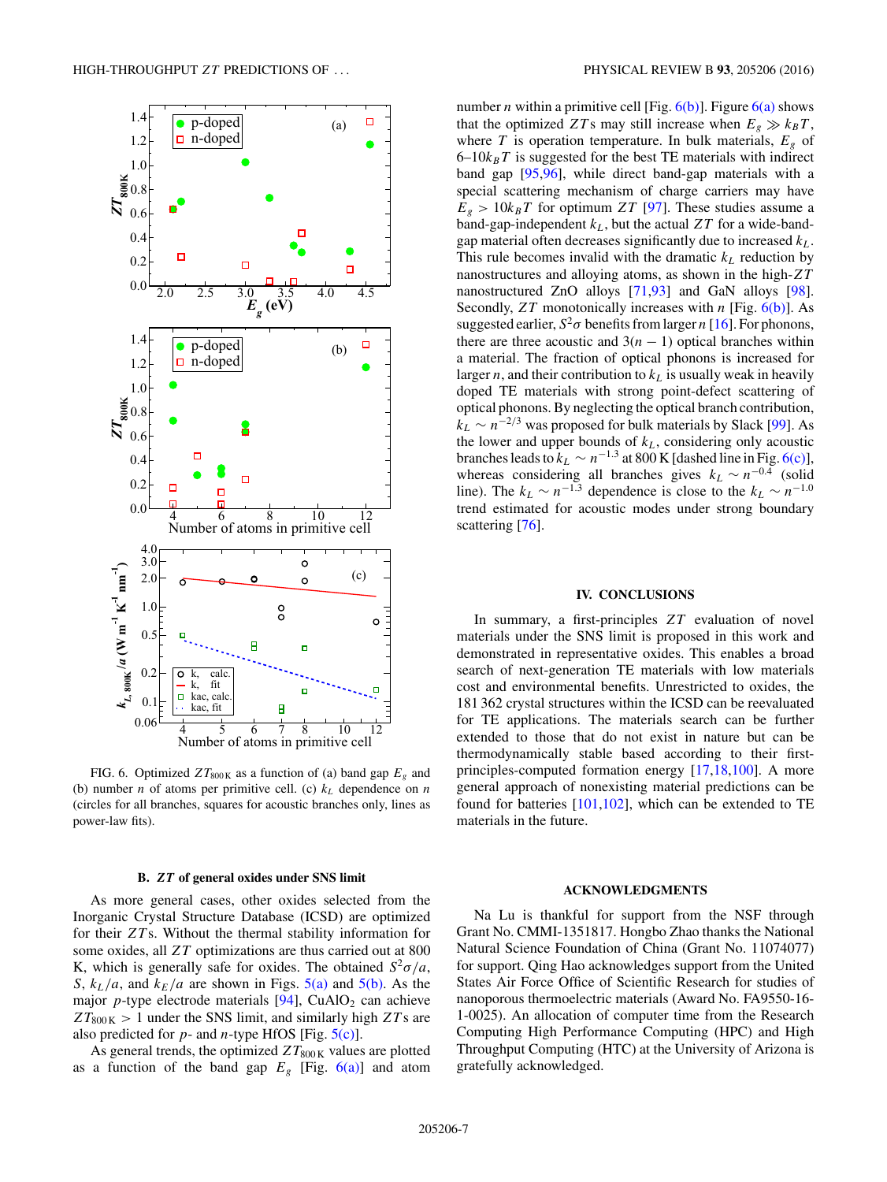

FIG. 6. Optimized  $ZT_{800\text{ K}}$  as a function of (a) band gap  $E<sub>g</sub>$  and (b) number *n* of atoms per primitive cell. (c)  $k<sub>L</sub>$  dependence on *n* (circles for all branches, squares for acoustic branches only, lines as power-law fits).

#### **B.** *ZT* **of general oxides under SNS limit**

As more general cases, other oxides selected from the Inorganic Crystal Structure Database (ICSD) are optimized for their *ZT* s. Without the thermal stability information for some oxides, all *ZT* optimizations are thus carried out at 800 K, which is generally safe for oxides. The obtained  $S^2 \sigma / a$ , *S*,  $k_L/a$ , and  $k_E/a$  are shown in Figs. [5\(a\)](#page-5-0) and [5\(b\).](#page-5-0) As the major  $p$ -type electrode materials  $[94]$ , CuAlO<sub>2</sub> can achieve  $ZT_{800 K} > 1$  under the SNS limit, and similarly high  $ZTs$  are also predicted for *p*- and *n*-type HfOS [Fig. [5\(c\)\]](#page-5-0).

As general trends, the optimized  $ZT_{800K}$  values are plotted as a function of the band gap  $E<sub>g</sub>$  [Fig. 6(a)] and atom number *n* within a primitive cell [Fig.  $6(b)$ ]. Figure  $6(a)$  shows that the optimized *ZT* s may still increase when  $E_g \gg k_B T$ , where *T* is operation temperature. In bulk materials,  $E_g$  of  $6-10k_BT$  is suggested for the best TE materials with indirect band gap [\[95,96\]](#page-10-0), while direct band-gap materials with a special scattering mechanism of charge carriers may have  $E_g$  > 10 $k_B T$  for optimum *ZT* [\[97\]](#page-10-0). These studies assume a band-gap-independent  $k_L$ , but the actual  $ZT$  for a wide-bandgap material often decreases significantly due to increased *kL*. This rule becomes invalid with the dramatic  $k<sub>L</sub>$  reduction by nanostructures and alloying atoms, as shown in the high-*ZT* nanostructured ZnO alloys [\[71,93\]](#page-10-0) and GaN alloys [\[98\]](#page-10-0). Secondly, *ZT* monotonically increases with *n* [Fig. 6(b)]. As suggested earlier,  $S^2 \sigma$  benefits from larger *n* [\[16\]](#page-9-0). For phonons, there are three acoustic and  $3(n - 1)$  optical branches within a material. The fraction of optical phonons is increased for larger  $n$ , and their contribution to  $k<sub>L</sub>$  is usually weak in heavily doped TE materials with strong point-defect scattering of optical phonons. By neglecting the optical branch contribution,  $k_L \sim n^{-2/3}$  was proposed for bulk materials by Slack [\[99\]](#page-10-0). As the lower and upper bounds of *kL*, considering only acoustic branches leads to  $k_L \sim n^{-1.3}$  at 800 K [dashed line in Fig. 6(c)], whereas considering all branches gives  $k_L \sim n^{-0.4}$  (solid line). The  $k_L \sim n^{-1.3}$  dependence is close to the  $k_L \sim n^{-1.0}$ trend estimated for acoustic modes under strong boundary scattering [\[76\]](#page-10-0).

#### **IV. CONCLUSIONS**

In summary, a first-principles *ZT* evaluation of novel materials under the SNS limit is proposed in this work and demonstrated in representative oxides. This enables a broad search of next-generation TE materials with low materials cost and environmental benefits. Unrestricted to oxides, the 181 362 crystal structures within the ICSD can be reevaluated for TE applications. The materials search can be further extended to those that do not exist in nature but can be thermodynamically stable based according to their firstprinciples-computed formation energy [\[17,18,](#page-9-0)[100\]](#page-10-0). A more general approach of nonexisting material predictions can be found for batteries  $[101,102]$ , which can be extended to TE materials in the future.

#### **ACKNOWLEDGMENTS**

Na Lu is thankful for support from the NSF through Grant No. CMMI-1351817. Hongbo Zhao thanks the National Natural Science Foundation of China (Grant No. 11074077) for support. Qing Hao acknowledges support from the United States Air Force Office of Scientific Research for studies of nanoporous thermoelectric materials (Award No. FA9550-16- 1-0025). An allocation of computer time from the Research Computing High Performance Computing (HPC) and High Throughput Computing (HTC) at the University of Arizona is gratefully acknowledged.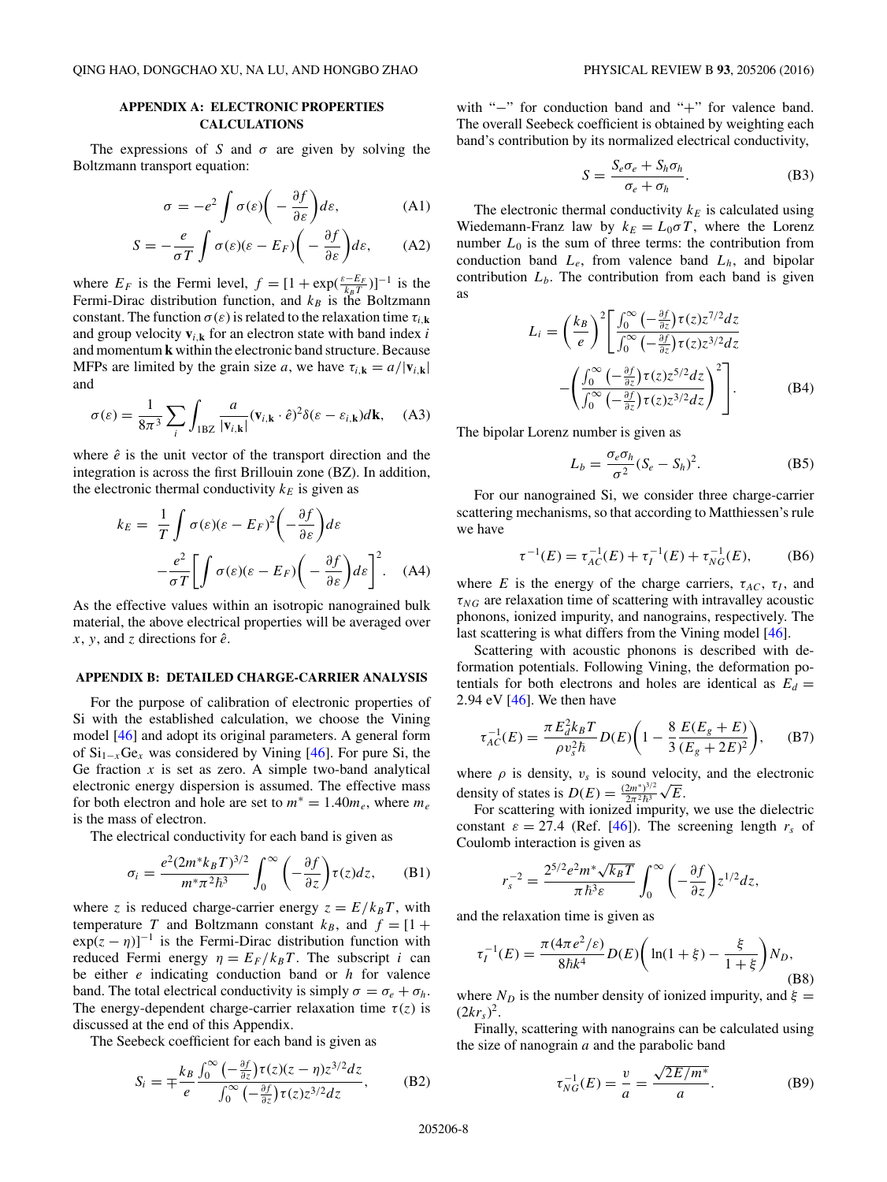## <span id="page-7-0"></span>**APPENDIX A: ELECTRONIC PROPERTIES CALCULATIONS**

The expressions of *S* and  $\sigma$  are given by solving the Boltzmann transport equation:

$$
\sigma = -e^2 \int \sigma(\varepsilon) \bigg( -\frac{\partial f}{\partial \varepsilon} \bigg) d\varepsilon, \tag{A1}
$$

$$
S = -\frac{e}{\sigma T} \int \sigma(\varepsilon)(\varepsilon - E_F) \bigg( -\frac{\partial f}{\partial \varepsilon} \bigg) d\varepsilon, \qquad (A2)
$$

where  $E_F$  is the Fermi level,  $f = [1 + \exp(\frac{\varepsilon - E_F}{k_B T})]^{-1}$  is the Fermi-Dirac distribution function, and  $k_B$  is the Boltzmann constant. The function  $\sigma(\varepsilon)$  is related to the relaxation time  $\tau_{i,k}$ and group velocity  $\mathbf{v}_{i,k}$  for an electron state with band index *i* and momentum **k** within the electronic band structure. Because MFPs are limited by the grain size *a*, we have  $\tau_{i,k} = a/|\mathbf{v}_{i,k}|$ and

$$
\sigma(\varepsilon) = \frac{1}{8\pi^3} \sum_{i} \int_{1BZ} \frac{a}{|\mathbf{v}_{i,\mathbf{k}}|} (\mathbf{v}_{i,\mathbf{k}} \cdot \hat{e})^2 \delta(\varepsilon - \varepsilon_{i,\mathbf{k}}) d\mathbf{k}, \quad \text{(A3)}
$$

where  $\hat{e}$  is the unit vector of the transport direction and the integration is across the first Brillouin zone (BZ). In addition, the electronic thermal conductivity  $k_E$  is given as

$$
k_E = \frac{1}{T} \int \sigma(\varepsilon)(\varepsilon - E_F)^2 \left( -\frac{\partial f}{\partial \varepsilon} \right) d\varepsilon
$$

$$
- \frac{e^2}{\sigma T} \left[ \int \sigma(\varepsilon)(\varepsilon - E_F) \left( -\frac{\partial f}{\partial \varepsilon} \right) d\varepsilon \right]^2. \quad (A4)
$$

As the effective values within an isotropic nanograined bulk material, the above electrical properties will be averaged over *x*, *y*, and *z* directions for  $\hat{e}$ .

## **APPENDIX B: DETAILED CHARGE-CARRIER ANALYSIS**

For the purpose of calibration of electronic properties of Si with the established calculation, we choose the Vining model [\[46\]](#page-9-0) and adopt its original parameters. A general form of Si1−*<sup>x</sup>*Ge*<sup>x</sup>* was considered by Vining [\[46\]](#page-9-0). For pure Si, the Ge fraction  $x$  is set as zero. A simple two-band analytical electronic energy dispersion is assumed. The effective mass for both electron and hole are set to  $m^* = 1.40m_e$ , where  $m_e$ is the mass of electron.

The electrical conductivity for each band is given as

$$
\sigma_i = \frac{e^2 (2m^* k_B T)^{3/2}}{m^* \pi^2 \hbar^3} \int_0^\infty \left(-\frac{\partial f}{\partial z}\right) \tau(z) dz, \quad \text{(B1)}
$$

where *z* is reduced charge-carrier energy  $z = E/k_B T$ , with temperature *T* and Boltzmann constant  $k_B$ , and  $f = [1 +$  $\exp(z - \eta)$ <sup>-1</sup> is the Fermi-Dirac distribution function with reduced Fermi energy  $\eta = E_F / k_B T$ . The subscript *i* can be either *e* indicating conduction band or *h* for valence band. The total electrical conductivity is simply  $\sigma = \sigma_e + \sigma_h$ . The energy-dependent charge-carrier relaxation time  $\tau(z)$  is discussed at the end of this Appendix.

The Seebeck coefficient for each band is given as

$$
S_i = \mp \frac{k_B}{e} \frac{\int_0^\infty \left(-\frac{\partial f}{\partial z}\right) \tau(z) (z - \eta) z^{3/2} dz}{\int_0^\infty \left(-\frac{\partial f}{\partial z}\right) \tau(z) z^{3/2} dz},
$$
(B2)

with "−" for conduction band and "+" for valence band. The overall Seebeck coefficient is obtained by weighting each band's contribution by its normalized electrical conductivity,

$$
S = \frac{S_e \sigma_e + S_h \sigma_h}{\sigma_e + \sigma_h}.
$$
 (B3)

The electronic thermal conductivity  $k_E$  is calculated using Wiedemann-Franz law by  $k_E = L_0 \sigma T$ , where the Lorenz number  $L_0$  is the sum of three terms: the contribution from conduction band  $L_e$ , from valence band  $L_h$ , and bipolar contribution  $L<sub>b</sub>$ . The contribution from each band is given as

$$
L_i = \left(\frac{k_B}{e}\right)^2 \left[\frac{\int_0^\infty \left(-\frac{\partial f}{\partial z}\right) \tau(z) z^{7/2} dz}{\int_0^\infty \left(-\frac{\partial f}{\partial z}\right) \tau(z) z^{3/2} dz}\right] -\left(\frac{\int_0^\infty \left(-\frac{\partial f}{\partial z}\right) \tau(z) z^{5/2} dz}{\int_0^\infty \left(-\frac{\partial f}{\partial z}\right) \tau(z) z^{3/2} dz}\right)^2\right].
$$
 (B4)

The bipolar Lorenz number is given as

$$
L_b = \frac{\sigma_e \sigma_h}{\sigma^2} (S_e - S_h)^2.
$$
 (B5)

For our nanograined Si, we consider three charge-carrier scattering mechanisms, so that according to Matthiessen's rule we have

$$
\tau^{-1}(E) = \tau_{AC}^{-1}(E) + \tau_I^{-1}(E) + \tau_{NG}^{-1}(E), \tag{B6}
$$

where *E* is the energy of the charge carriers,  $\tau_{AC}$ ,  $\tau_I$ , and  $\tau_{NG}$  are relaxation time of scattering with intravalley acoustic phonons, ionized impurity, and nanograins, respectively. The last scattering is what differs from the Vining model [\[46\]](#page-9-0).

Scattering with acoustic phonons is described with deformation potentials. Following Vining, the deformation potentials for both electrons and holes are identical as  $E_d =$ 2*.*94 eV [\[46\]](#page-9-0). We then have

$$
\tau_{AC}^{-1}(E) = \frac{\pi E_d^2 k_B T}{\rho v_s^2 \hbar} D(E) \bigg( 1 - \frac{8}{3} \frac{E(E_g + E)}{(E_g + 2E)^2} \bigg), \qquad (B7)
$$

where  $\rho$  is density,  $v_s$  is sound velocity, and the electronic density of states is  $D(E) = \frac{(2m^*)^{3/2}}{2\pi^2\hbar^3}\sqrt{E}$ .

For scattering with ionized impurity, we use the dielectric constant  $\varepsilon = 27.4$  (Ref. [\[46\]](#page-9-0)). The screening length  $r_s$  of Coulomb interaction is given as

$$
r_s^{-2} = \frac{2^{5/2} e^2 m^* \sqrt{k_B T}}{\pi \hbar^3 \varepsilon} \int_0^\infty \left(-\frac{\partial f}{\partial z}\right) z^{1/2} dz,
$$

and the relaxation time is given as

$$
\tau_I^{-1}(E) = \frac{\pi (4\pi e^2/\varepsilon)}{8\hbar k^4} D(E) \bigg( \ln(1+\xi) - \frac{\xi}{1+\xi} \bigg) N_D,
$$
\n(B8)

where  $N_D$  is the number density of ionized impurity, and  $\xi =$  $(2kr_s)^2$ .

Finally, scattering with nanograins can be calculated using the size of nanograin *a* and the parabolic band

$$
\tau_{NG}^{-1}(E) = \frac{v}{a} = \frac{\sqrt{2E/m^*}}{a}.
$$
 (B9)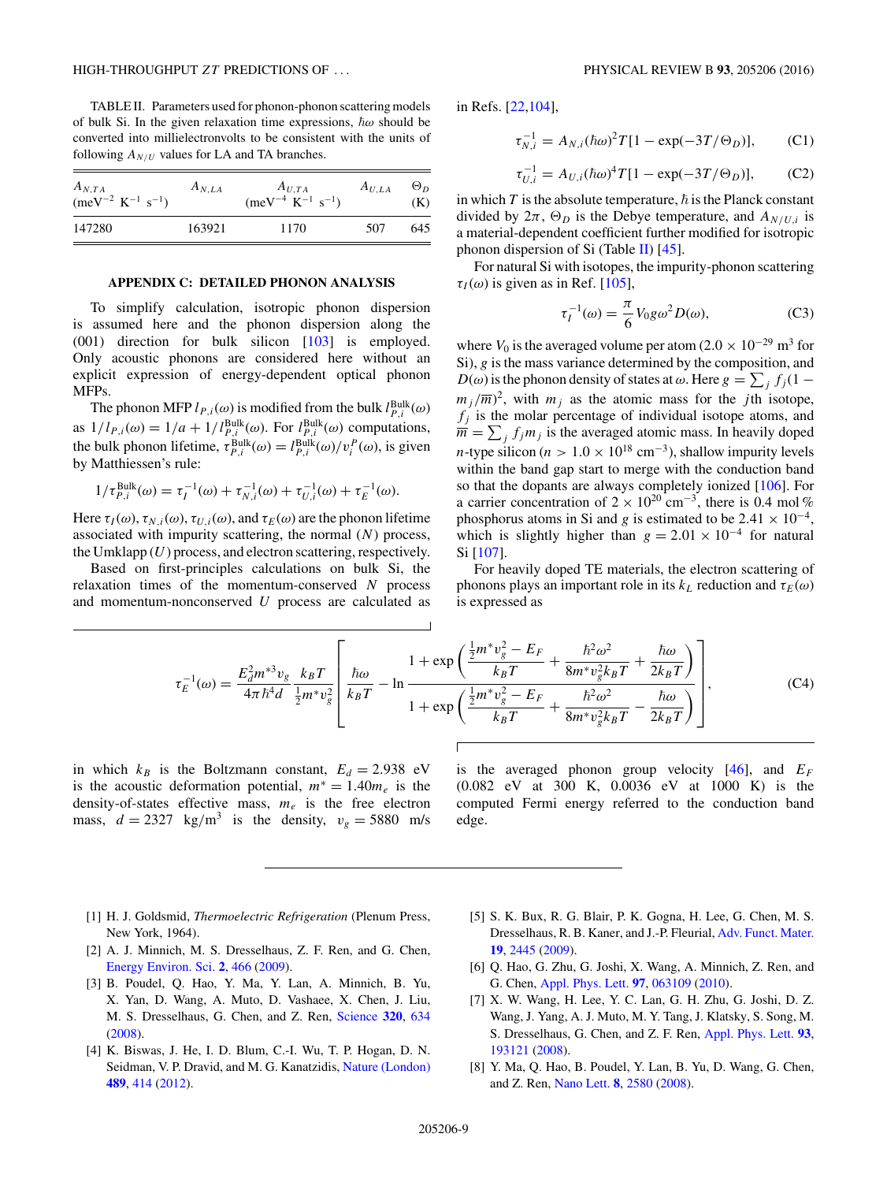<span id="page-8-0"></span>TABLE II. Parameters used for phonon-phonon scattering models of bulk Si. In the given relaxation time expressions,  $\hbar \omega$  should be converted into millielectronvolts to be consistent with the units of following  $A_{N/U}$  values for LA and TA branches.

| $A_{N,TA}$<br>(meV <sup>-2</sup> K <sup>-1</sup> s <sup>-1</sup> ) | $A_{N,LA}$ | $A_{U,TA}$<br>$(\text{meV}^{-4} \text{ K}^{-1} \text{ s}^{-1})$ | $A_{U,LA}$ | $\Theta_D$<br>(K) |
|--------------------------------------------------------------------|------------|-----------------------------------------------------------------|------------|-------------------|
| 147280                                                             | 163921     | 1170                                                            | 507        | 645               |

#### **APPENDIX C: DETAILED PHONON ANALYSIS**

To simplify calculation, isotropic phonon dispersion is assumed here and the phonon dispersion along the (001) direction for bulk silicon [\[103\]](#page-10-0) is employed. Only acoustic phonons are considered here without an explicit expression of energy-dependent optical phonon MFPs.

The phonon MFP  $l_{P,i}(\omega)$  is modified from the bulk  $l_{P,i}^{\text{Bulk}}(\omega)$ as  $1/l_{P,i}(\omega) = 1/a + 1/l_{P,i}^{\text{Bulk}}(\omega)$ . For  $l_{P,i}^{\text{Bulk}}(\omega)$  computations, the bulk phonon lifetime,  $\tau_{P,i}^{\text{Bulk}}(\omega) = l_{P,i}^{\text{Bulk}}(\omega) / v_i^P(\omega)$ , is given by Matthiessen's rule:

$$
1/\tau_{P,i}^{\text{Bulk}}(\omega) = \tau_I^{-1}(\omega) + \tau_{N,i}^{-1}(\omega) + \tau_{U,i}^{-1}(\omega) + \tau_E^{-1}(\omega).
$$

Here  $\tau_I(\omega)$ ,  $\tau_{N,i}(\omega)$ ,  $\tau_{U,i}(\omega)$ , and  $\tau_E(\omega)$  are the phonon lifetime associated with impurity scattering, the normal (*N*) process, the Umklapp (*U*) process, and electron scattering, respectively.

Based on first-principles calculations on bulk Si, the relaxation times of the momentum-conserved *N* process and momentum-nonconserved *U* process are calculated as in Refs. [\[22](#page-9-0)[,104\]](#page-10-0),

$$
\tau_{N,i}^{-1} = A_{N,i} (\hbar \omega)^2 T [1 - \exp(-3T/\Theta_D)],
$$
 (C1)

$$
\tau_{U,i}^{-1} = A_{U,i} (\hbar \omega)^{4} T [1 - \exp(-3T/\Theta_D)],
$$
 (C2)

in which  $T$  is the absolute temperature,  $\hbar$  is the Planck constant divided by  $2\pi$ ,  $\Theta_D$  is the Debye temperature, and  $A_{N/U,i}$  is a material-dependent coefficient further modified for isotropic phonon dispersion of Si (Table II)  $[45]$ .

For natural Si with isotopes, the impurity-phonon scattering  $\tau_I(\omega)$  is given as in Ref. [\[105\]](#page-10-0),

$$
\tau_I^{-1}(\omega) = \frac{\pi}{6} V_0 g \omega^2 D(\omega),\tag{C3}
$$

where  $V_0$  is the averaged volume per atom (2.0 × 10<sup>-29</sup> m<sup>3</sup> for Si), *g* is the mass variance determined by the composition, and *D*( $\omega$ ) is the phonon density of states at  $\omega$ . Here  $g = \sum_j f_j(1$  $m_j/\overline{m}$ <sup>2</sup>, with  $m_j$  as the atomic mass for the *j*th isotope,  $f_i$  is the molar percentage of individual isotope atoms, and  $\overline{m} = \sum_j f_j m_j$  is the averaged atomic mass. In heavily doped *n*-type silicon ( $n > 1.0 \times 10^{18}$  cm<sup>-3</sup>), shallow impurity levels within the band gap start to merge with the conduction band so that the dopants are always completely ionized [\[106\]](#page-10-0). For a carrier concentration of  $2 \times 10^{20}$  cm<sup>-3</sup>, there is 0.4 mol % phosphorus atoms in Si and *g* is estimated to be 2.41  $\times$  10<sup>-4</sup>, which is slightly higher than  $g = 2.01 \times 10^{-4}$  for natural Si [\[107\]](#page-10-0).

For heavily doped TE materials, the electron scattering of phonons plays an important role in its  $k<sub>L</sub>$  reduction and  $\tau<sub>E</sub>(\omega)$ is expressed as

$$
\tau_E^{-1}(\omega) = \frac{E_d^2 m^{*3} v_g}{4\pi \hbar^4 d} \frac{k_B T}{\frac{1}{2} m^* v_g^2} \left[ \frac{\hbar \omega}{k_B T} - \ln \frac{1 + \exp\left(\frac{\frac{1}{2} m^* v_g^2 - E_F}{k_B T} + \frac{\hbar^2 \omega^2}{8 m^* v_g^2 k_B T} + \frac{\hbar \omega}{2 k_B T}\right)}{1 + \exp\left(\frac{\frac{1}{2} m^* v_g^2 - E_F}{k_B T} + \frac{\hbar^2 \omega^2}{8 m^* v_g^2 k_B T} - \frac{\hbar \omega}{2 k_B T}\right)} \right],\tag{C4}
$$

in which  $k_B$  is the Boltzmann constant,  $E_d = 2.938$  eV is the acoustic deformation potential,  $m^* = 1.40m_e$  is the density-of-states effective mass, *me* is the free electron mass,  $d = 2327$  kg/m<sup>3</sup> is the density,  $v_g = 5880$  m/s

is the averaged phonon group velocity  $[46]$ , and  $E_F$ (0.082 eV at 300 K, 0.0036 eV at 1000 K) is the computed Fermi energy referred to the conduction band edge.

- [1] H. J. Goldsmid, *Thermoelectric Refrigeration* (Plenum Press, New York, 1964).
- [2] A. J. Minnich, M. S. Dresselhaus, Z. F. Ren, and G. Chen, [Energy Environ. Sci.](http://dx.doi.org/10.1039/b822664b) **[2](http://dx.doi.org/10.1039/b822664b)**, [466](http://dx.doi.org/10.1039/b822664b) [\(2009\)](http://dx.doi.org/10.1039/b822664b).
- [3] B. Poudel, Q. Hao, Y. Ma, Y. Lan, A. Minnich, B. Yu, X. Yan, D. Wang, A. Muto, D. Vashaee, X. Chen, J. Liu, M. S. Dresselhaus, G. Chen, and Z. Ren, [Science](http://dx.doi.org/10.1126/science.1156446) **[320](http://dx.doi.org/10.1126/science.1156446)**, [634](http://dx.doi.org/10.1126/science.1156446) [\(2008\)](http://dx.doi.org/10.1126/science.1156446).
- [4] K. Biswas, J. He, I. D. Blum, C.-I. Wu, T. P. Hogan, D. N. Seidman, V. P. Dravid, and M. G. Kanatzidis, [Nature \(London\)](http://dx.doi.org/10.1038/nature11439) **[489](http://dx.doi.org/10.1038/nature11439)**, [414](http://dx.doi.org/10.1038/nature11439) [\(2012\)](http://dx.doi.org/10.1038/nature11439).
- [5] S. K. Bux, R. G. Blair, P. K. Gogna, H. Lee, G. Chen, M. S. Dresselhaus, R. B. Kaner, and J.-P. Fleurial, [Adv. Funct. Mater.](http://dx.doi.org/10.1002/adfm.200900250) **[19](http://dx.doi.org/10.1002/adfm.200900250)**, [2445](http://dx.doi.org/10.1002/adfm.200900250) [\(2009\)](http://dx.doi.org/10.1002/adfm.200900250).
- [6] Q. Hao, G. Zhu, G. Joshi, X. Wang, A. Minnich, Z. Ren, and G. Chen, [Appl. Phys. Lett.](http://dx.doi.org/10.1063/1.3478459) **[97](http://dx.doi.org/10.1063/1.3478459)**, [063109](http://dx.doi.org/10.1063/1.3478459) [\(2010\)](http://dx.doi.org/10.1063/1.3478459).
- [7] X. W. Wang, H. Lee, Y. C. Lan, G. H. Zhu, G. Joshi, D. Z. Wang, J. Yang, A. J. Muto, M. Y. Tang, J. Klatsky, S. Song, M. S. Dresselhaus, G. Chen, and Z. F. Ren, [Appl. Phys. Lett.](http://dx.doi.org/10.1063/1.3027060) **[93](http://dx.doi.org/10.1063/1.3027060)**, [193121](http://dx.doi.org/10.1063/1.3027060) [\(2008\)](http://dx.doi.org/10.1063/1.3027060).
- [8] Y. Ma, Q. Hao, B. Poudel, Y. Lan, B. Yu, D. Wang, G. Chen, and Z. Ren, [Nano Lett.](http://dx.doi.org/10.1021/nl8009928) **[8](http://dx.doi.org/10.1021/nl8009928)**, [2580](http://dx.doi.org/10.1021/nl8009928) [\(2008\)](http://dx.doi.org/10.1021/nl8009928).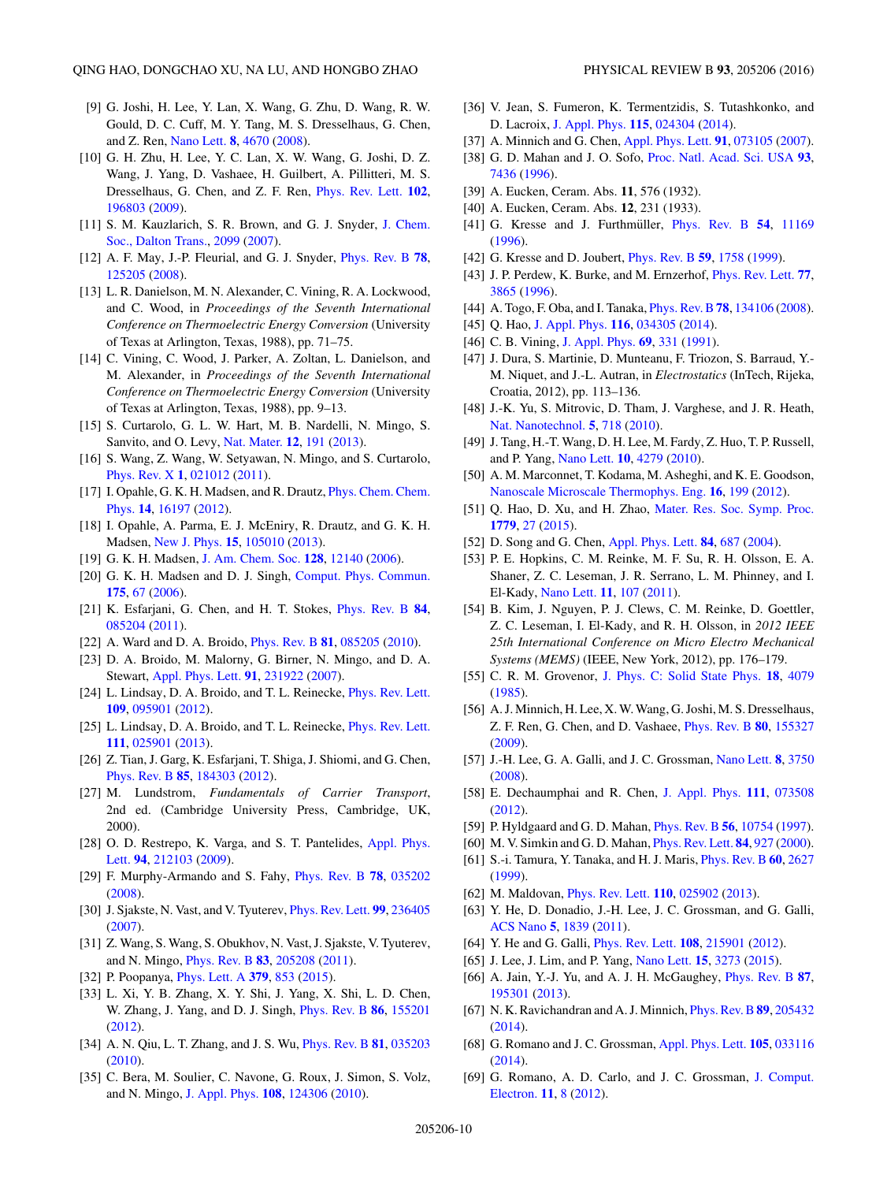- <span id="page-9-0"></span>[9] G. Joshi, H. Lee, Y. Lan, X. Wang, G. Zhu, D. Wang, R. W. Gould, D. C. Cuff, M. Y. Tang, M. S. Dresselhaus, G. Chen, and Z. Ren, [Nano Lett.](http://dx.doi.org/10.1021/nl8026795) **[8](http://dx.doi.org/10.1021/nl8026795)**, [4670](http://dx.doi.org/10.1021/nl8026795) [\(2008\)](http://dx.doi.org/10.1021/nl8026795).
- [10] G. H. Zhu, H. Lee, Y. C. Lan, X. W. Wang, G. Joshi, D. Z. Wang, J. Yang, D. Vashaee, H. Guilbert, A. Pillitteri, M. S. Dresselhaus, G. Chen, and Z. F. Ren, [Phys. Rev. Lett.](http://dx.doi.org/10.1103/PhysRevLett.102.196803) **[102](http://dx.doi.org/10.1103/PhysRevLett.102.196803)**, [196803](http://dx.doi.org/10.1103/PhysRevLett.102.196803) [\(2009\)](http://dx.doi.org/10.1103/PhysRevLett.102.196803).
- [11] [S. M. Kauzlarich, S. R. Brown, and G. J. Snyder,](http://dx.doi.org/10.1039/b702266b) J. Chem. Soc., Dalton Trans., [2099](http://dx.doi.org/10.1039/b702266b) [\(2007\)](http://dx.doi.org/10.1039/b702266b).
- [12] A. F. May, J.-P. Fleurial, and G. J. Snyder, [Phys. Rev. B](http://dx.doi.org/10.1103/PhysRevB.78.125205) **[78](http://dx.doi.org/10.1103/PhysRevB.78.125205)**, [125205](http://dx.doi.org/10.1103/PhysRevB.78.125205) [\(2008\)](http://dx.doi.org/10.1103/PhysRevB.78.125205).
- [13] L. R. Danielson, M. N. Alexander, C. Vining, R. A. Lockwood, and C. Wood, in *Proceedings of the Seventh International Conference on Thermoelectric Energy Conversion* (University of Texas at Arlington, Texas, 1988), pp. 71–75.
- [14] C. Vining, C. Wood, J. Parker, A. Zoltan, L. Danielson, and M. Alexander, in *Proceedings of the Seventh International Conference on Thermoelectric Energy Conversion* (University of Texas at Arlington, Texas, 1988), pp. 9–13.
- [15] S. Curtarolo, G. L. W. Hart, M. B. Nardelli, N. Mingo, S. Sanvito, and O. Levy, [Nat. Mater.](http://dx.doi.org/10.1038/nmat3568) **[12](http://dx.doi.org/10.1038/nmat3568)**, [191](http://dx.doi.org/10.1038/nmat3568) [\(2013\)](http://dx.doi.org/10.1038/nmat3568).
- [16] S. Wang, Z. Wang, W. Setyawan, N. Mingo, and S. Curtarolo, [Phys. Rev. X](http://dx.doi.org/10.1103/PhysRevX.1.021012) **[1](http://dx.doi.org/10.1103/PhysRevX.1.021012)**, [021012](http://dx.doi.org/10.1103/PhysRevX.1.021012) [\(2011\)](http://dx.doi.org/10.1103/PhysRevX.1.021012).
- [17] [I. Opahle, G. K. H. Madsen, and R. Drautz,](http://dx.doi.org/10.1039/c2cp41826f) *Phys. Chem. Chem.* Phys. **[14](http://dx.doi.org/10.1039/c2cp41826f)**, [16197](http://dx.doi.org/10.1039/c2cp41826f) [\(2012\)](http://dx.doi.org/10.1039/c2cp41826f).
- [18] I. Opahle, A. Parma, E. J. McEniry, R. Drautz, and G. K. H. Madsen, [New J. Phys.](http://dx.doi.org/10.1088/1367-2630/15/10/105010) **[15](http://dx.doi.org/10.1088/1367-2630/15/10/105010)**, [105010](http://dx.doi.org/10.1088/1367-2630/15/10/105010) [\(2013\)](http://dx.doi.org/10.1088/1367-2630/15/10/105010).
- [19] G. K. H. Madsen, [J. Am. Chem. Soc.](http://dx.doi.org/10.1021/ja062526a) **[128](http://dx.doi.org/10.1021/ja062526a)**, [12140](http://dx.doi.org/10.1021/ja062526a) [\(2006\)](http://dx.doi.org/10.1021/ja062526a).
- [20] G. K. H. Madsen and D. J. Singh, [Comput. Phys. Commun.](http://dx.doi.org/10.1016/j.cpc.2006.03.007) **[175](http://dx.doi.org/10.1016/j.cpc.2006.03.007)**, [67](http://dx.doi.org/10.1016/j.cpc.2006.03.007) [\(2006\)](http://dx.doi.org/10.1016/j.cpc.2006.03.007).
- [21] K. Esfarjani, G. Chen, and H. T. Stokes, [Phys. Rev. B](http://dx.doi.org/10.1103/PhysRevB.84.085204) **[84](http://dx.doi.org/10.1103/PhysRevB.84.085204)**, [085204](http://dx.doi.org/10.1103/PhysRevB.84.085204) [\(2011\)](http://dx.doi.org/10.1103/PhysRevB.84.085204).
- [22] A. Ward and D. A. Broido, [Phys. Rev. B](http://dx.doi.org/10.1103/PhysRevB.81.085205) **[81](http://dx.doi.org/10.1103/PhysRevB.81.085205)**, [085205](http://dx.doi.org/10.1103/PhysRevB.81.085205) [\(2010\)](http://dx.doi.org/10.1103/PhysRevB.81.085205).
- [23] D. A. Broido, M. Malorny, G. Birner, N. Mingo, and D. A. Stewart, [Appl. Phys. Lett.](http://dx.doi.org/10.1063/1.2822891) **[91](http://dx.doi.org/10.1063/1.2822891)**, [231922](http://dx.doi.org/10.1063/1.2822891) [\(2007\)](http://dx.doi.org/10.1063/1.2822891).
- [24] L. Lindsay, D. A. Broido, and T. L. Reinecke, *[Phys. Rev. Lett.](http://dx.doi.org/10.1103/PhysRevLett.109.095901)* **[109](http://dx.doi.org/10.1103/PhysRevLett.109.095901)**, [095901](http://dx.doi.org/10.1103/PhysRevLett.109.095901) [\(2012\)](http://dx.doi.org/10.1103/PhysRevLett.109.095901).
- [25] L. Lindsay, D. A. Broido, and T. L. Reinecke, *[Phys. Rev. Lett.](http://dx.doi.org/10.1103/PhysRevLett.111.025901)* **[111](http://dx.doi.org/10.1103/PhysRevLett.111.025901)**, [025901](http://dx.doi.org/10.1103/PhysRevLett.111.025901) [\(2013\)](http://dx.doi.org/10.1103/PhysRevLett.111.025901).
- [26] Z. Tian, J. Garg, K. Esfarjani, T. Shiga, J. Shiomi, and G. Chen, [Phys. Rev. B](http://dx.doi.org/10.1103/PhysRevB.85.184303) **[85](http://dx.doi.org/10.1103/PhysRevB.85.184303)**, [184303](http://dx.doi.org/10.1103/PhysRevB.85.184303) [\(2012\)](http://dx.doi.org/10.1103/PhysRevB.85.184303).
- [27] M. Lundstrom, *Fundamentals of Carrier Transport*, 2nd ed. (Cambridge University Press, Cambridge, UK, 2000).
- [28] [O. D. Restrepo, K. Varga, and S. T. Pantelides,](http://dx.doi.org/10.1063/1.3147189) Appl. Phys. Lett. **[94](http://dx.doi.org/10.1063/1.3147189)**, [212103](http://dx.doi.org/10.1063/1.3147189) [\(2009\)](http://dx.doi.org/10.1063/1.3147189).
- [29] F. Murphy-Armando and S. Fahy, [Phys. Rev. B](http://dx.doi.org/10.1103/PhysRevB.78.035202) **[78](http://dx.doi.org/10.1103/PhysRevB.78.035202)**, [035202](http://dx.doi.org/10.1103/PhysRevB.78.035202) [\(2008\)](http://dx.doi.org/10.1103/PhysRevB.78.035202).
- [30] J. Sjakste, N. Vast, and V. Tyuterev, [Phys. Rev. Lett.](http://dx.doi.org/10.1103/PhysRevLett.99.236405) **[99](http://dx.doi.org/10.1103/PhysRevLett.99.236405)**, [236405](http://dx.doi.org/10.1103/PhysRevLett.99.236405) [\(2007\)](http://dx.doi.org/10.1103/PhysRevLett.99.236405).
- [31] Z. Wang, S. Wang, S. Obukhov, N. Vast, J. Sjakste, V. Tyuterev, and N. Mingo, [Phys. Rev. B](http://dx.doi.org/10.1103/PhysRevB.83.205208) **[83](http://dx.doi.org/10.1103/PhysRevB.83.205208)**, [205208](http://dx.doi.org/10.1103/PhysRevB.83.205208) [\(2011\)](http://dx.doi.org/10.1103/PhysRevB.83.205208).
- [32] P. Poopanya, [Phys. Lett. A](http://dx.doi.org/10.1016/j.physleta.2014.04.072) **[379](http://dx.doi.org/10.1016/j.physleta.2014.04.072)**, [853](http://dx.doi.org/10.1016/j.physleta.2014.04.072) [\(2015\)](http://dx.doi.org/10.1016/j.physleta.2014.04.072).
- [33] L. Xi, Y. B. Zhang, X. Y. Shi, J. Yang, X. Shi, L. D. Chen, W. Zhang, J. Yang, and D. J. Singh, [Phys. Rev. B](http://dx.doi.org/10.1103/PhysRevB.86.155201) **[86](http://dx.doi.org/10.1103/PhysRevB.86.155201)**, [155201](http://dx.doi.org/10.1103/PhysRevB.86.155201) [\(2012\)](http://dx.doi.org/10.1103/PhysRevB.86.155201).
- [34] A. N. Qiu, L. T. Zhang, and J. S. Wu, [Phys. Rev. B](http://dx.doi.org/10.1103/PhysRevB.81.035203) **[81](http://dx.doi.org/10.1103/PhysRevB.81.035203)**, [035203](http://dx.doi.org/10.1103/PhysRevB.81.035203) [\(2010\)](http://dx.doi.org/10.1103/PhysRevB.81.035203).
- [35] C. Bera, M. Soulier, C. Navone, G. Roux, J. Simon, S. Volz, and N. Mingo, [J. Appl. Phys.](http://dx.doi.org/10.1063/1.3518579) **[108](http://dx.doi.org/10.1063/1.3518579)**, [124306](http://dx.doi.org/10.1063/1.3518579) [\(2010\)](http://dx.doi.org/10.1063/1.3518579).
- [36] V. Jean, S. Fumeron, K. Termentzidis, S. Tutashkonko, and D. Lacroix, [J. Appl. Phys.](http://dx.doi.org/10.1063/1.4861410) **[115](http://dx.doi.org/10.1063/1.4861410)**, [024304](http://dx.doi.org/10.1063/1.4861410) [\(2014\)](http://dx.doi.org/10.1063/1.4861410).
- [37] A. Minnich and G. Chen, [Appl. Phys. Lett.](http://dx.doi.org/10.1063/1.2771040) **[91](http://dx.doi.org/10.1063/1.2771040)**, [073105](http://dx.doi.org/10.1063/1.2771040) [\(2007\)](http://dx.doi.org/10.1063/1.2771040).
- [38] G. D. Mahan and J. O. Sofo, [Proc. Natl. Acad. Sci. USA](http://dx.doi.org/10.1073/pnas.93.15.7436) **[93](http://dx.doi.org/10.1073/pnas.93.15.7436)**, [7436](http://dx.doi.org/10.1073/pnas.93.15.7436) [\(1996\)](http://dx.doi.org/10.1073/pnas.93.15.7436).
- [39] A. Eucken, Ceram. Abs. **11**, 576 (1932).
- [40] A. Eucken, Ceram. Abs. **12**, 231 (1933).
- [41] G. Kresse and J. Furthmüller, *[Phys. Rev. B](http://dx.doi.org/10.1103/PhysRevB.54.11169)* [54](http://dx.doi.org/10.1103/PhysRevB.54.11169), [11169](http://dx.doi.org/10.1103/PhysRevB.54.11169) [\(1996\)](http://dx.doi.org/10.1103/PhysRevB.54.11169).
- [42] G. Kresse and D. Joubert, [Phys. Rev. B](http://dx.doi.org/10.1103/PhysRevB.59.1758) **[59](http://dx.doi.org/10.1103/PhysRevB.59.1758)**, [1758](http://dx.doi.org/10.1103/PhysRevB.59.1758) [\(1999\)](http://dx.doi.org/10.1103/PhysRevB.59.1758).
- [43] J. P. Perdew, K. Burke, and M. Ernzerhof, [Phys. Rev. Lett.](http://dx.doi.org/10.1103/PhysRevLett.77.3865) **[77](http://dx.doi.org/10.1103/PhysRevLett.77.3865)**, [3865](http://dx.doi.org/10.1103/PhysRevLett.77.3865) [\(1996\)](http://dx.doi.org/10.1103/PhysRevLett.77.3865).
- [44] A. Togo, F. Oba, and I. Tanaka, [Phys. Rev. B](http://dx.doi.org/10.1103/PhysRevB.78.134106)**[78](http://dx.doi.org/10.1103/PhysRevB.78.134106)**, [134106](http://dx.doi.org/10.1103/PhysRevB.78.134106) [\(2008\)](http://dx.doi.org/10.1103/PhysRevB.78.134106).
- [45] Q. Hao, [J. Appl. Phys.](http://dx.doi.org/10.1063/1.4890362) **[116](http://dx.doi.org/10.1063/1.4890362)**, [034305](http://dx.doi.org/10.1063/1.4890362) [\(2014\)](http://dx.doi.org/10.1063/1.4890362).
- [46] C. B. Vining, [J. Appl. Phys.](http://dx.doi.org/10.1063/1.347717) **[69](http://dx.doi.org/10.1063/1.347717)**, [331](http://dx.doi.org/10.1063/1.347717) [\(1991\)](http://dx.doi.org/10.1063/1.347717).
- [47] J. Dura, S. Martinie, D. Munteanu, F. Triozon, S. Barraud, Y.- M. Niquet, and J.-L. Autran, in *Electrostatics* (InTech, Rijeka, Croatia, 2012), pp. 113–136.
- [48] J.-K. Yu, S. Mitrovic, D. Tham, J. Varghese, and J. R. Heath, [Nat. Nanotechnol.](http://dx.doi.org/10.1038/nnano.2010.149) **[5](http://dx.doi.org/10.1038/nnano.2010.149)**, [718](http://dx.doi.org/10.1038/nnano.2010.149) [\(2010\)](http://dx.doi.org/10.1038/nnano.2010.149).
- [49] J. Tang, H.-T. Wang, D. H. Lee, M. Fardy, Z. Huo, T. P. Russell, and P. Yang, [Nano Lett.](http://dx.doi.org/10.1021/nl102931z) **[10](http://dx.doi.org/10.1021/nl102931z)**, [4279](http://dx.doi.org/10.1021/nl102931z) [\(2010\)](http://dx.doi.org/10.1021/nl102931z).
- [50] A. M. Marconnet, T. Kodama, M. Asheghi, and K. E. Goodson, [Nanoscale Microscale Thermophys. Eng.](http://dx.doi.org/10.1080/15567265.2012.732195) **[16](http://dx.doi.org/10.1080/15567265.2012.732195)**, [199](http://dx.doi.org/10.1080/15567265.2012.732195) [\(2012\)](http://dx.doi.org/10.1080/15567265.2012.732195).
- [51] Q. Hao, D. Xu, and H. Zhao, [Mater. Res. Soc. Symp. Proc.](http://dx.doi.org/10.1557/opl.2015.707) **[1779](http://dx.doi.org/10.1557/opl.2015.707)**, [27](http://dx.doi.org/10.1557/opl.2015.707) [\(2015\)](http://dx.doi.org/10.1557/opl.2015.707).
- [52] D. Song and G. Chen, [Appl. Phys. Lett.](http://dx.doi.org/10.1063/1.1642753) **[84](http://dx.doi.org/10.1063/1.1642753)**, [687](http://dx.doi.org/10.1063/1.1642753) [\(2004\)](http://dx.doi.org/10.1063/1.1642753).
- [53] P. E. Hopkins, C. M. Reinke, M. F. Su, R. H. Olsson, E. A. Shaner, Z. C. Leseman, J. R. Serrano, L. M. Phinney, and I. El-Kady, [Nano Lett.](http://dx.doi.org/10.1021/nl102918q) **[11](http://dx.doi.org/10.1021/nl102918q)**, [107](http://dx.doi.org/10.1021/nl102918q) [\(2011\)](http://dx.doi.org/10.1021/nl102918q).
- [54] B. Kim, J. Nguyen, P. J. Clews, C. M. Reinke, D. Goettler, Z. C. Leseman, I. El-Kady, and R. H. Olsson, in *2012 IEEE 25th International Conference on Micro Electro Mechanical Systems (MEMS)* (IEEE, New York, 2012), pp. 176–179.
- [55] C. R. M. Grovenor, [J. Phys. C: Solid State Phys.](http://dx.doi.org/10.1088/0022-3719/18/21/008) **[18](http://dx.doi.org/10.1088/0022-3719/18/21/008)**, [4079](http://dx.doi.org/10.1088/0022-3719/18/21/008) [\(1985\)](http://dx.doi.org/10.1088/0022-3719/18/21/008).
- [56] A. J. Minnich, H. Lee, X.W.Wang, G. Joshi, M. S. Dresselhaus, Z. F. Ren, G. Chen, and D. Vashaee, [Phys. Rev. B](http://dx.doi.org/10.1103/PhysRevB.80.155327) **[80](http://dx.doi.org/10.1103/PhysRevB.80.155327)**, [155327](http://dx.doi.org/10.1103/PhysRevB.80.155327) [\(2009\)](http://dx.doi.org/10.1103/PhysRevB.80.155327).
- [57] J.-H. Lee, G. A. Galli, and J. C. Grossman, [Nano Lett.](http://dx.doi.org/10.1021/nl802045f) **[8](http://dx.doi.org/10.1021/nl802045f)**, [3750](http://dx.doi.org/10.1021/nl802045f) [\(2008\)](http://dx.doi.org/10.1021/nl802045f).
- [58] E. Dechaumphai and R. Chen, [J. Appl. Phys.](http://dx.doi.org/10.1063/1.3699056) **[111](http://dx.doi.org/10.1063/1.3699056)**, [073508](http://dx.doi.org/10.1063/1.3699056) [\(2012\)](http://dx.doi.org/10.1063/1.3699056).
- [59] P. Hyldgaard and G. D. Mahan, [Phys. Rev. B](http://dx.doi.org/10.1103/PhysRevB.56.10754) **[56](http://dx.doi.org/10.1103/PhysRevB.56.10754)**, [10754](http://dx.doi.org/10.1103/PhysRevB.56.10754) [\(1997\)](http://dx.doi.org/10.1103/PhysRevB.56.10754).
- [60] M. V. Simkin and G. D. Mahan, [Phys. Rev. Lett.](http://dx.doi.org/10.1103/PhysRevLett.84.927) **[84](http://dx.doi.org/10.1103/PhysRevLett.84.927)**, [927](http://dx.doi.org/10.1103/PhysRevLett.84.927) [\(2000\)](http://dx.doi.org/10.1103/PhysRevLett.84.927).
- [61] S.-i. Tamura, Y. Tanaka, and H. J. Maris, [Phys. Rev. B](http://dx.doi.org/10.1103/PhysRevB.60.2627) **[60](http://dx.doi.org/10.1103/PhysRevB.60.2627)**, [2627](http://dx.doi.org/10.1103/PhysRevB.60.2627) [\(1999\)](http://dx.doi.org/10.1103/PhysRevB.60.2627).
- [62] M. Maldovan, [Phys. Rev. Lett.](http://dx.doi.org/10.1103/PhysRevLett.110.025902) **[110](http://dx.doi.org/10.1103/PhysRevLett.110.025902)**, [025902](http://dx.doi.org/10.1103/PhysRevLett.110.025902) [\(2013\)](http://dx.doi.org/10.1103/PhysRevLett.110.025902).
- [63] Y. He, D. Donadio, J.-H. Lee, J. C. Grossman, and G. Galli, [ACS Nano](http://dx.doi.org/10.1021/nn2003184) **[5](http://dx.doi.org/10.1021/nn2003184)**, [1839](http://dx.doi.org/10.1021/nn2003184) [\(2011\)](http://dx.doi.org/10.1021/nn2003184).
- [64] Y. He and G. Galli, [Phys. Rev. Lett.](http://dx.doi.org/10.1103/PhysRevLett.108.215901) **[108](http://dx.doi.org/10.1103/PhysRevLett.108.215901)**, [215901](http://dx.doi.org/10.1103/PhysRevLett.108.215901) [\(2012\)](http://dx.doi.org/10.1103/PhysRevLett.108.215901).
- [65] J. Lee, J. Lim, and P. Yang, [Nano Lett.](http://dx.doi.org/10.1021/acs.nanolett.5b00495) **[15](http://dx.doi.org/10.1021/acs.nanolett.5b00495)**, [3273](http://dx.doi.org/10.1021/acs.nanolett.5b00495) [\(2015\)](http://dx.doi.org/10.1021/acs.nanolett.5b00495).
- [66] A. Jain, Y.-J. Yu, and A. J. H. McGaughey, [Phys. Rev. B](http://dx.doi.org/10.1103/PhysRevB.87.195301) **[87](http://dx.doi.org/10.1103/PhysRevB.87.195301)**, [195301](http://dx.doi.org/10.1103/PhysRevB.87.195301) [\(2013\)](http://dx.doi.org/10.1103/PhysRevB.87.195301).
- [67] N. K. Ravichandran and A. J. Minnich, [Phys. Rev. B](http://dx.doi.org/10.1103/PhysRevB.89.205432)**[89](http://dx.doi.org/10.1103/PhysRevB.89.205432)**, [205432](http://dx.doi.org/10.1103/PhysRevB.89.205432) [\(2014\)](http://dx.doi.org/10.1103/PhysRevB.89.205432).
- [68] G. Romano and J. C. Grossman, [Appl. Phys. Lett.](http://dx.doi.org/10.1063/1.4891362) **[105](http://dx.doi.org/10.1063/1.4891362)**, [033116](http://dx.doi.org/10.1063/1.4891362)  $(2014)$ .
- [69] [G. Romano, A. D. Carlo, and J. C. Grossman,](http://dx.doi.org/10.1007/s10825-012-0390-2) J. Comput. Electron. **[11](http://dx.doi.org/10.1007/s10825-012-0390-2)**, [8](http://dx.doi.org/10.1007/s10825-012-0390-2) [\(2012\)](http://dx.doi.org/10.1007/s10825-012-0390-2).